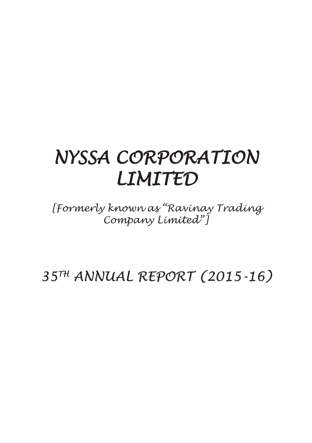# *NYSSA CORPORATION LIMITED*

*[Formerly known as "Ravinay Trading Company Limited"]*

*35TH ANNUAL REPORT (2015-16)*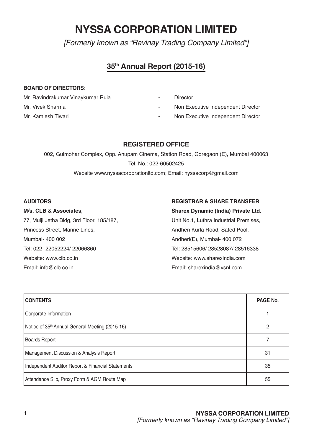# **NYSSA CORPORATION LIMITED**

*[Formerly known as "Ravinay Trading Company Limited"]*

### **35th Annual Report (2015-16)**

### **BOARD OF DIRECTORS:**

- Mr. Ravindrakumar Vinaykumar Ruia **Franklin** Director
- 
- 
- 
- Mr. Vivek Sharma **Mr. Vivek Sharma Non Executive Independent Director**
- Mr. Kamlesh Tiwari **Mr. Kamlesh Tiwari 1998** Non Executive Independent Director

### **REGISTERED OFFICE**

002, Gulmohar Complex, Opp. Anupam Cinema, Station Road, Goregaon (E), Mumbai 400063 Tel. No.: 022-60502425 Website www.nyssacorporationltd.com; Email: nyssacorp@gmail.com

77, Mulji Jetha Bldg, 3rd Floor, 185/187, Unit No.1, Luthra Industrial Premises, Princess Street, Marine Lines, Andheri Kurla Road, Safed Pool, Mumbai- 400 002 Andheri(E), Mumbai- 400 072 Tel: 022- 22052224/ 22066860 Tel: 28515606/ 28528087/ 28516338 Website: www.clb.co.in Website: www.sharexindia.com Email: info@clb.co.in Email: sharexindia@vsnl.com

### **AUDITORS REGISTRAR & SHARE TRANSFER**

**M/s. CLB & Associates**, **Sharex Dynamic (India) Private Ltd.**

| <b>CONTENTS</b>                                   | PAGE No. |
|---------------------------------------------------|----------|
| Corporate Information                             |          |
| Notice of 35th Annual General Meeting (2015-16)   | 2        |
| <b>Boards Report</b>                              |          |
| Management Discussion & Analysis Report           | 31       |
| Independent Auditor Report & Financial Statements | 35       |
| Attendance Slip, Proxy Form & AGM Route Map       | 55       |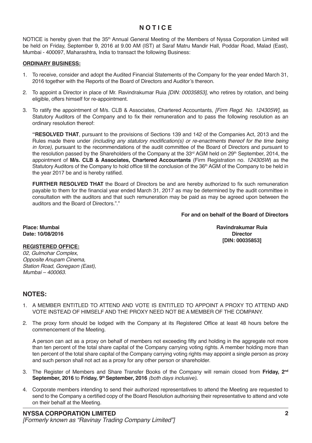### **N O T I C E**

NOTICE is hereby given that the 35<sup>th</sup> Annual General Meeting of the Members of Nyssa Corporation Limited will be held on Friday, September 9, 2016 at 9.00 AM (IST) at Saraf Matru Mandir Hall, Poddar Road, Malad (East), Mumbai - 400097, Maharashtra, India to transact the following Business:

### **ORDINARY BUSINESS:**

- 1. To receive, consider and adopt the Audited Financial Statements of the Company for the year ended March 31, 2016 together with the Reports of the Board of Directors and Auditor's thereon.
- 2. To appoint a Director in place of Mr. Ravindrakumar Ruia *[DIN: 00035853],* who retires by rotation, and being eligible, offers himself for re-appointment.
- 3. To ratify the appointment of M/s. CLB & Associates, Chartered Accountants, *[Firm Regd. No. 124305W]*, as Statutory Auditors of the Company and to fix their remuneration and to pass the following resolution as an ordinary resolution thereof:

**"RESOLVED THAT**, pursuant to the provisions of Sections 139 and 142 of the Companies Act, 2013 and the Rules made there under *(including any statutory modification(s)* or re-enactments thereof for the time being in force), pursuant to the recommendations of the audit committee of the Board of Directors and pursuant to the resolution passed by the Shareholders of the Company at the  $33<sup>rd</sup>$  AGM held on  $29<sup>th</sup>$  September, 2014, the appointment of **M/s. CLB & Associates, Chartered Accountants** (Firm Registration no. *124305W*) as the Statutory Auditors of the Company to hold office till the conclusion of the 36<sup>th</sup> AGM of the Company to be held in the year 2017 be and is hereby ratified.

**FURTHER RESOLVED THAT** the Board of Directors be and are hereby authorized to fix such remuneration payable to them for the financial year ended March 31, 2017 as may be determined by the audit committee in consultation with the auditors and that such remuneration may be paid as may be agreed upon between the auditors and the Board of Directors."."

### **For and on behalf of the Board of Directors**

Date: 10/08/2016

**Place: Mumbai Ravindrakumar Ruia [DIN: 00035853]**

### **REGISTERED OFFICE:**

02, Gulmohar Complex, *Opposite Anupam Cinema,*  Station Road, Goregaon (East), Mumbai – 400063.

### **NOTES:**

- 1. A MEMBER ENTITLED TO ATTEND AND VOTE IS ENTITLED TO APPOINT A PROXY TO ATTEND AND VOTE INSTEAD OF HIMSELF AND THE PROXY NEED NOT BE A MEMBER OF THE COMPANY.
- 2. The proxy form should be lodged with the Company at its Registered Office at least 48 hours before the commencement of the Meeting.

A person can act as a proxy on behalf of members not exceeding fifty and holding in the aggregate not more than ten percent of the total share capital of the Company carrying voting rights. A member holding more than ten percent of the total share capital of the Company carrying voting rights may appoint a single person as proxy and such person shall not act as a proxy for any other person or shareholder.

- 3. The Register of Members and Share Transfer Books of the Company will remain closed from **Friday, 2nd September, 2016** to **Friday, 9th September, 2016** (both days inclusive)**.**
- 4. Corporate members intending to send their authorized representatives to attend the Meeting are requested to send to the Company a certified copy of the Board Resolution authorising their representative to attend and vote on their behalf at the Meeting.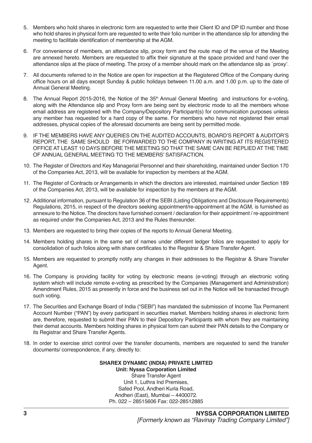- 5. Members who hold shares in electronic form are requested to write their Client ID and DP ID number and those who hold shares in physical form are requested to write their folio number in the attendance slip for attending the meeting to facilitate identification of membership at the AGM.
- 6. For convenience of members, an attendance slip, proxy form and the route map of the venue of the Meeting are annexed hereto. Members are requested to affix their signature at the space provided and hand over the attendance slips at the place of meeting. The proxy of a member should mark on the attendance slip as `proxy'.
- 7. All documents referred to in the Notice are open for inspection at the Registered Office of the Company during office hours on all days except Sunday & public holidays between 11.00 a.m. and 1.00 p.m. up to the date of Annual General Meeting.
- 8. The Annual Report 2015-2016, the Notice of the 35<sup>th</sup> Annual General Meeting and instructions for e-voting, along with the Attendance slip and Proxy form are being sent by electronic mode to all the members whose email address are registered with the Company/Depository Participant(s) for communication purposes unless any member has requested for a hard copy of the same. For members who have not registered their email addresses, physical copies of the aforesaid documents are being sent by permitted mode.
- 9. IF THE MEMBERS HAVE ANY QUERIES ON THE AUDITED ACCOUNTS, BOARD'S REPORT & AUDITOR'S REPORT, THE SAME SHOULD BE FORWARDED TO THE COMPANY IN WRITING AT ITS REGISTERED OFFICE AT LEAST 10 DAYS BEFORE THE MEETING SO THAT THE SAME CAN BE REPLIED AT THE TIME OF ANNUAL GENERAL MEETING TO THE MEMBERS' SATISFACTION.
- 10. The Register of Directors and Key Managerial Personnel and their shareholding, maintained under Section 170 of the Companies Act, 2013, will be available for inspection by members at the AGM.
- 11. The Register of Contracts or Arrangements in which the directors are interested, maintained under Section 189 of the Companies Act, 2013, will be available for inspection by the members at the AGM.
- 12. Additional information, pursuant to Regulation 36 of the SEBI (Listing Obligations and Disclosure Requirements) Regulations, 2015, in respect of the directors seeking appointment/re-appointment at the AGM, is furnished as annexure to the Notice. The directors have furnished consent / declaration for their appointment / re-appointment as required under the Companies Act, 2013 and the Rules thereunder.
- 13. Members are requested to bring their copies of the reports to Annual General Meeting.
- 14. Members holding shares in the same set of names under different ledger folios are requested to apply for consolidation of such folios along with share certificates to the Registrar & Share Transfer Agent.
- 15. Members are requested to promptly notify any changes in their addresses to the Registrar & Share Transfer Agent.
- 16. The Company is providing facility for voting by electronic means (e-voting) through an electronic voting system which will include remote e-voting as prescribed by the Companies (Management and Administration) Amendment Rules, 2015 as presently in force and the business set out in the Notice will be transacted through such voting.
- 17. The Securities and Exchange Board of India ("SEBI") has mandated the submission of Income Tax Permanent Account Number ("PAN") by every participant in securities market. Members holding shares in electronic form are, therefore, requested to submit their PAN to their Depository Participants with whom they are maintaining their demat accounts. Members holding shares in physical form can submit their PAN details to the Company or its Registrar and Share Transfer Agents.
- 18. In order to exercise strict control over the transfer documents, members are requested to send the transfer documents/ correspondence, if any, directly to:

### **SHAREX DYNAMIC (INDIA) PRIVATE LIMITED Unit: Nyssa Corporation Limited** Share Transfer Agent Unit 1, Luthra Ind Premises, Safed Pool, Andheri Kurla Road, Andheri (East), Mumbai – 4400072. Ph. 022 – 28515606 Fax: 022-28512885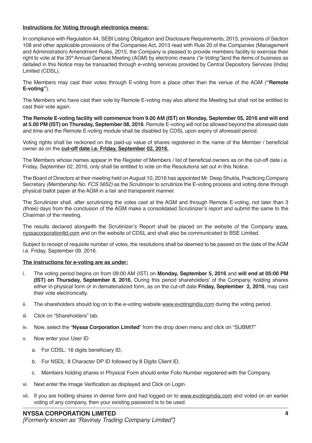### **Instructions for Voting through electronics means:**

In compliance with Regulation 44, SEBI Listing Obligation and Disclosure Requirements, 2015, provisions of Section 108 and other applicable provisions of the Companies Act, 2013 read with Rule 20 of the Companies (Management and Administration) Amendment Rules, 2015, the Company is pleased to provide members facility to exercise their right to vote at the 35<sup>th</sup> Annual General Meeting (AGM) by electronic means ("e-Voting") and the items of business as detailed in this Notice may be transacted through e-voting services provided by Central Depository Services (India) Limited (CDSL).

The Members may cast their votes through E-voting from a place other than the venue of the AGM (**"Remote E-voting"**).

The Members who have cast their vote by Remote E-voting may also attend the Meeting but shall not be entitled to cast their vote again.

**The Remote E-voting facility will commence from 9.00 AM (IST) on Monday, September 05, 2016 and will end at 5.00 PM (IST) on Thursday, September 08, 2016**. Remote E-voting will not be allowed beyond the aforesaid date and time and the Remote E-voting module shall be disabled by CDSL upon expiry of aforesaid period.

Voting rights shall be reckoned on the paid-up value of shares registered in the name of the Member / beneficial owner as on the **cut-off date i.e. Friday, September 02, 2016.**

The Members whose names appear in the Register of Members / list of beneficial owners as on the cut-off date i.e. Friday, September 02, 2016, only shall be entitled to vote on the Resolutions set out in this Notice.

The Board of Directors at their meeting held on August 10, 2016 has appointed Mr. Deep Shukla, Practicing Company Secretary (Membership No. FCS 5652) as the Scrutinizer to scrutinize the E-voting process and voting done through physical ballot paper at the AGM in a fair and transparent manner.

The Scrutinizer shall, after scrutinizing the votes cast at the AGM and through Remote E-voting, not later than 3 (three) days from the conclusion of the AGM make a consolidated Scrutinizer's report and submit the same to the Chairman of the meeting.

The results declared alongwith the Scrutinizer's Report shall be placed on the website of the Company www. nyssacorporationltd.com and on the website of CDSL and shall also be communicated to BSE Limited.

Subject to receipt of requisite number of votes, the resolutions shall be deemed to be passed on the date of the AGM i.e. Friday, September 09, 2016.

### **The instructions for e-voting are as under:**

- i. The voting period begins on from 09:00 AM (IST) on **Monday, September 5, 2016** and **will end at 05:00 PM (IST) on Thursday, September 8, 2016.** During this period shareholders' of the Company, holding shares either in physical form or in dematerialized form, as on the cut-off date **Friday, September 2, 2016**, may cast their vote electronically.
- ii. The shareholders should log on to the e-voting website www.evotingindia.com during the voting period.
- iii. Click on "Shareholders" tab.
- iv. Now, select the "**Nyssa Corporation Limited**" from the drop down menu and click on "SUBMIT"
- v. Now enter your User ID
	- a. For CDSL: 16 digits beneficiary ID,
	- b. For NSDL: 8 Character DP ID followed by 8 Digits Client ID,
	- c. Members holding shares in Physical Form should enter Folio Number registered with the Company.
- vi. Next enter the Image Verification as displayed and Click on Login.
- vii. If you are holding shares in demat form and had logged on to www.evotingindia.com and voted on an earlier voting of any company, then your existing password is to be used.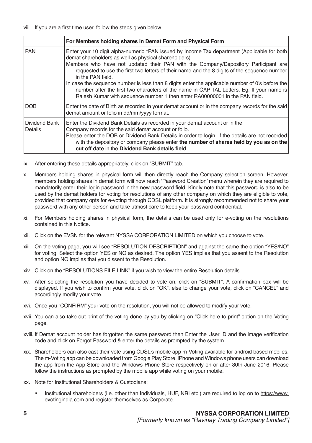|                          | For Members holding shares in Demat Form and Physical Form                                                                                                                                                                                                                                                                                                                                                                                                                                                                                                                                                                                    |
|--------------------------|-----------------------------------------------------------------------------------------------------------------------------------------------------------------------------------------------------------------------------------------------------------------------------------------------------------------------------------------------------------------------------------------------------------------------------------------------------------------------------------------------------------------------------------------------------------------------------------------------------------------------------------------------|
| <b>PAN</b>               | Enter your 10 digit alpha-numeric *PAN issued by Income Tax department (Applicable for both<br>demat shareholders as well as physical shareholders)<br>Members who have not updated their PAN with the Company/Depository Participant are<br>requested to use the first two letters of their name and the 8 digits of the sequence number<br>in the PAN field.<br>In case the sequence number is less than 8 digits enter the applicable number of 0's before the<br>number after the first two characters of the name in CAPITAL Letters. Eg. If your name is<br>Rajesh Kumar with sequence number 1 then enter RA00000001 in the PAN field. |
| <b>DOB</b>               | Enter the date of Birth as recorded in your demat account or in the company records for the said<br>demat amount or folio in dd/mm/yyyy format.                                                                                                                                                                                                                                                                                                                                                                                                                                                                                               |
| Dividend Bank<br>Details | Enter the Dividend Bank Details as recorded in your demat account or in the<br>Company records for the said demat account or folio.<br>Please enter the DOB or Dividend Bank Details in order to login. If the details are not recorded<br>with the depository or company please enter the number of shares held by you as on the<br>cut off date in the Dividend Bank details field.                                                                                                                                                                                                                                                         |

- ix. After entering these details appropriately, click on "SUBMIT" tab.
- x. Members holding shares in physical form will then directly reach the Company selection screen. However, members holding shares in demat form will now reach 'Password Creation' menu wherein they are required to mandatorily enter their login password in the new password field. Kindly note that this password is also to be used by the demat holders for voting for resolutions of any other company on which they are eligible to vote, provided that company opts for e-voting through CDSL platform. It is strongly recommended not to share your password with any other person and take utmost care to keep your password confidential.
- xi. For Members holding shares in physical form, the details can be used only for e-voting on the resolutions contained in this Notice.
- xii. Click on the EVSN for the relevant NYSSA CORPORATION LIMITED on which you choose to vote.
- xiii. On the voting page, you will see "RESOLUTION DESCRIPTION" and against the same the option "YES/NO" for voting. Select the option YES or NO as desired. The option YES implies that you assent to the Resolution and option NO implies that you dissent to the Resolution.
- xiv. Click on the "RESOLUTIONS FILE LINK" if you wish to view the entire Resolution details.
- xv. After selecting the resolution you have decided to vote on, click on "SUBMIT". A confirmation box will be displayed. If you wish to confirm your vote, click on "OK", else to change your vote, click on "CANCEL" and accordingly modify your vote.
- xvi. Once you "CONFIRM" your vote on the resolution, you will not be allowed to modify your vote.
- xvii. You can also take out print of the voting done by you by clicking on "Click here to print" option on the Voting page.
- xviii. If Demat account holder has forgotten the same password then Enter the User ID and the image verification code and click on Forgot Password & enter the details as prompted by the system.
- xix. Shareholders can also cast their vote using CDSL's mobile app m-Voting available for android based mobiles. The m-Voting app can be downloaded from Google Play Store. iPhone and Windows phone users can download the app from the App Store and the Windows Phone Store respectively on or after 30th June 2016. Please follow the instructions as prompted by the mobile app while voting on your mobile.
- xx. Note for Institutional Shareholders & Custodians:
	- Institutional shareholders (i.e. other than Individuals, HUF, NRI etc.) are required to log on to https://www. evotingindia.com and register themselves as Corporate.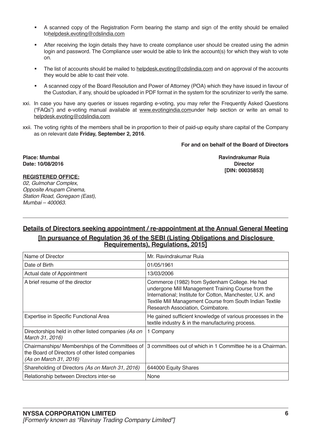- A scanned copy of the Registration Form bearing the stamp and sign of the entity should be emailed tohelpdesk.evoting@cdslindia.com
- After receiving the login details they have to create compliance user should be created using the admin login and password. The Compliance user would be able to link the account(s) for which they wish to vote on.
- The list of accounts should be mailed to helpdesk.evoting@cdslindia.com and on approval of the accounts they would be able to cast their vote.
- A scanned copy of the Board Resolution and Power of Attorney (POA) which they have issued in favour of the Custodian, if any, should be uploaded in PDF format in the system for the scrutinizer to verify the same.
- xxi. In case you have any queries or issues regarding e-voting, you may refer the Frequently Asked Questions ("FAQs") and e-voting manual available at www.evotingindia.comunder help section or write an email to helpdesk.evoting@cdslindia.com
- xxii. The voting rights of the members shall be in proportion to their of paid-up equity share capital of the Company as on relevant date **Friday, September 2, 2016**.

**For and on behalf of the Board of Directors**

Date: 10/08/2016

**Place: Mumbai Ravindrakumar Ruia [DIN: 00035853]**

### **REGISTERED OFFICE:**

02, Gulmohar Complex, *Opposite Anupam Cinema,*  Station Road, Goregaon (East), Mumbai – 400063.

### **Details of Directors seeking appointment / re-appointment at the Annual General Meeting [In pursuance of Regulation 36 of the SEBI (Listing Obligations and Disclosure Requirements), Regulations, 2015]**

| Name of Director                                                                                                              | Mr. Ravindrakumar Ruja                                                                                                                                                                                                                                            |
|-------------------------------------------------------------------------------------------------------------------------------|-------------------------------------------------------------------------------------------------------------------------------------------------------------------------------------------------------------------------------------------------------------------|
| Date of Birth                                                                                                                 | 01/05/1961                                                                                                                                                                                                                                                        |
| Actual date of Appointment                                                                                                    | 13/03/2006                                                                                                                                                                                                                                                        |
| A brief resume of the director                                                                                                | Commerce (1982) from Sydenham College. He had<br>undergone Mill Management Training Course from the<br>International; Institute for Cotton, Manchester, U.K. and<br>Textile Mill Management Course from South Indian Textile<br>Research Association, Coimbatore. |
| Expertise in Specific Functional Area                                                                                         | He gained sufficient knowledge of various processes in the<br>textile industry & in the manufacturing process.                                                                                                                                                    |
| Directorships held in other listed companies (As on<br>March 31, 2016)                                                        | 1 Company                                                                                                                                                                                                                                                         |
| Chairmanships/ Memberships of the Committees of<br>the Board of Directors of other listed companies<br>(As on March 31, 2016) | 3 committees out of which in 1 Committee he is a Chairman.                                                                                                                                                                                                        |
| Shareholding of Directors (As on March 31, 2016)                                                                              | 644000 Equity Shares                                                                                                                                                                                                                                              |
| Relationship between Directors inter-se                                                                                       | None                                                                                                                                                                                                                                                              |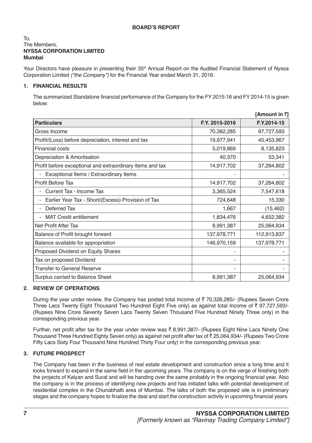### **BOARD'S REPORT**

#### To, The Members, **NYSSA CORPORATION LIMITED Mumbai**

Your Directors have pleasure in presenting their 35<sup>th</sup> Annual Report on the Audited Financial Statement of Nyssa Corporation Limited ("the Company") for the Financial Year ended March 31, 2016.

### **1. FINANCIAL RESULTS**

The summarized Standalone financial performance of the Company for the FY 2015-16 and FY 2014-15 is given below:

|                                                           |                | [Amount in ₹] |
|-----------------------------------------------------------|----------------|---------------|
| <b>Particulars</b>                                        | F.Y. 2015-2016 | F.Y.2014-15   |
| Gross Income                                              | 70,382,285     | 97,727,593    |
| Profit/(Loss) before depreciation, interest and tax       | 19,977,941     | 45,453,967    |
| <b>Financial costs</b>                                    | 5,019,869      | 8,135,823     |
| Depreciation & Amortisation                               | 40,370         | 53,341        |
| Profit before exceptional and extraordinary items and tax | 14,917,702     | 37,264,802    |
| Exceptional Items / Extraordinary Items                   |                |               |
| <b>Profit Before Tax</b>                                  | 14,917,702     | 37,264,802    |
| Current Tax - Income Tax                                  | 3,365,524      | 7,547,618     |
| Earlier Year Tax - Short/(Excess) Provision of Tax        | 724,648        | 15,330        |
| Deferred Tax                                              | 1,667          | (15, 462)     |
| <b>MAT Credit entitlement</b>                             | 1,834,476      | 4,652,382     |
| Net Profit After Tax                                      | 8,991,387      | 25,064,934    |
| Balance of Profit brought forward                         | 137,978,771    | 112,913,837   |
| Balance available for appropriation                       | 146,970,159    | 137,978,771   |
| Proposed Dividend on Equity Shares                        |                |               |
| Tax on proposed Dividend                                  |                |               |
| Transfer to General Reserve                               |                |               |
| Surplus carried to Balance Sheet                          | 8,991,387      | 25,064,934    |

### **2. REVIEW OF OPERATIONS**

During the year under review, the Company has posted total Income of  $\bar{\tau}$  70,328,285/- (Rupees Seven Crore Three Lacs Twenty Eight Thousand Two Hundred Eight Five only) as against total Income of  $\bar{\tau}$  97,727,593/-(Rupees Nine Crore Seventy Seven Lacs Twenty Seven Thousand Five Hundred Ninety Three only) in the corresponding previous year.

Further, net profit after tax for the year under review was  $\bar{\tau}$  8,991,387/- (Rupees Eight Nine Lacs Ninety One Thousand Three Hundred Eighty Seven only) as against net profit after tax of  $\bar{\tau}$  25,064,934/- (Rupees Two Crore Fifty Lacs Sixty Four Thousand Nine Hundred Thirty Four only) in the corresponding previous year.

### **3. FUTURE PROSPECT**

The Company has been in the business of real estate development and construction since a long time and it looks forward to expand in the same field in the upcoming years. The company is on the verge of finishing both the projects of Kalyan and Surat and will be handing over the same probably in the ongoing financial year. Also the company is in the process of identifying new projects and has initiated talks with potential development of residential complex in the Chunabhatti area of Mumbai. The talks of both the proposed site is in preliminary stages and the company hopes to finalize the deal and start the construction activity in upcoming financial years.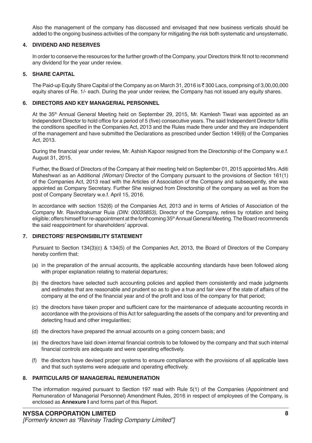Also the management of the company has discussed and envisaged that new business verticals should be added to the ongoing business activities of the company for mitigating the risk both systematic and unsystematic.

### **4. DIVIDEND AND RESERVES**

In order to conserve the resources for the further growth of the Company, your Directors think fit not to recommend any dividend for the year under review.

### **5. SHARE CAPITAL**

The Paid-up Equity Share Capital of the Company as on March 31, 2016 is  $\bar{\tau}$  300 Lacs, comprising of 3,00,00,000 equity shares of Re. 1/- each. During the year under review, the Company has not issued any equity shares.

### **6. DIRECTORS AND KEY MANAGERIAL PERSONNEL**

At the 35<sup>th</sup> Annual General Meeting held on September 29, 2015, Mr. Kamlesh Tiwari was appointed as an Independent Director to hold office for a period of 5 (five) consecutive years. The said Independent Director fulfils the conditions specified in the Companies Act, 2013 and the Rules made there under and they are independent of the management and have submitted the Declarations as prescribed under Section 149(6) of the Companies Act, 2013.

During the financial year under review, Mr. Ashish Kapoor resigned from the Directorship of the Company w.e.f. August 31, 2015.

Further, the Board of Directors of the Company at their meeting held on September 01, 2015 appointed Mrs. Aditi Maheshwari as an Additional (Woman) Director of the Company pursuant to the provisions of Section 161(1) of the Companies Act, 2013 read with the Articles of Association of the Company and subsequently, she was appointed as Company Secretary. Further She resigned from Directorship of the company as well as from the post of Company Secretary w.e.f. April 15, 2016.

In accordance with section 152(6) of the Companies Act, 2013 and in terms of Articles of Association of the Company Mr. Ravindrakumar Ruia (DIN: 00035853), Director of the Company, retires by rotation and being eligible; offers himself for re-appointment at the forthcoming 35<sup>th</sup> Annual General Meeting. The Board recommends the said reappointment for shareholders' approval.

### **7. DIRECTORS' RESPONSIBILITY STATEMENT**

Pursuant to Section 134(3)(c) & 134(5) of the Companies Act, 2013, the Board of Directors of the Company hereby confirm that:

- (a) in the preparation of the annual accounts, the applicable accounting standards have been followed along with proper explanation relating to material departures;
- (b) the directors have selected such accounting policies and applied them consistently and made judgments and estimates that are reasonable and prudent so as to give a true and fair view of the state of affairs of the company at the end of the financial year and of the profit and loss of the company for that period;
- (c) the directors have taken proper and sufficient care for the maintenance of adequate accounting records in accordance with the provisions of this Act for safeguarding the assets of the company and for preventing and detecting fraud and other irregularities;
- (d) the directors have prepared the annual accounts on a going concern basis; and
- (e) the directors have laid down internal financial controls to be followed by the company and that such internal financial controls are adequate and were operating effectively.
- (f) the directors have devised proper systems to ensure compliance with the provisions of all applicable laws and that such systems were adequate and operating effectively.

### **8. PARTICULARS OF MANAGERIAL REMUNERATION**

The information required pursuant to Section 197 read with Rule 5(1) of the Companies (Appointment and Remuneration of Managerial Personnel) Amendment Rules, 2016 in respect of employees of the Company, is enclosed as **Annexure I** and forms part of this Report.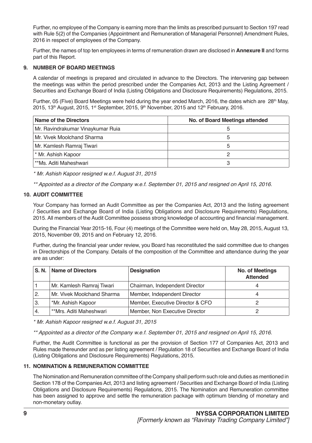Further, no employee of the Company is earning more than the limits as prescribed pursuant to Section 197 read with Rule 5(2) of the Companies (Appointment and Remuneration of Managerial Personnel) Amendment Rules, 2016 in respect of employees of the Company.

Further, the names of top ten employees in terms of remuneration drawn are disclosed in **Annexure II** and forms part of this Report.

### **9. NUMBER OF BOARD MEETINGS**

A calendar of meetings is prepared and circulated in advance to the Directors. The intervening gap between the meetings was within the period prescribed under the Companies Act, 2013 and the Listing Agreement / Securities and Exchange Board of India (Listing Obligations and Disclosure Requirements) Regulations, 2015.

Further, 05 (Five) Board Meetings were held during the year ended March, 2016, the dates which are 28<sup>th</sup> May, 2015, 13<sup>th</sup> August, 2015, 1<sup>st</sup> September, 2015, 9<sup>th</sup> November, 2015 and 12<sup>th</sup> February, 2016.

| Name of the Directors              | No. of Board Meetings attended |
|------------------------------------|--------------------------------|
| Mr. Ravindrakumar Vinaykumar Ruia  |                                |
| Mr. Vivek Moolchand Sharma         |                                |
| Mr. Kamlesh Ramraj Tiwari          |                                |
| <sup>*</sup> Mr. Ashish Kapoor     |                                |
| <sup>**</sup> Ms. Aditi Maheshwari |                                |

\* Mr. Ashish Kapoor resigned w.e.f. August 31, 2015

\*\* Appointed as a director of the Company w.e.f. September 01, 2015 and resigned on April 15, 2016.

### **10. AUDIT COMMITTEE**

Your Company has formed an Audit Committee as per the Companies Act, 2013 and the listing agreement / Securities and Exchange Board of India (Listing Obligations and Disclosure Requirements) Regulations, 2015. All members of the Audit Committee possess strong knowledge of accounting and financial management.

During the Financial Year 2015-16, Four (4) meetings of the Committee were held on, May 28, 2015, August 13, 2015, November 09, 2015 and on February 12, 2016.

Further, during the financial year under review, you Board has reconstituted the said committee due to changes in Directorships of the Company. Details of the composition of the Committee and attendance during the year are as under:

|              | S. N.   Name of Directors  | <b>Designation</b>               | <b>No. of Meetings</b><br><b>Attended</b> |
|--------------|----------------------------|----------------------------------|-------------------------------------------|
|              | Mr. Kamlesh Ramraj Tiwari  | Chairman, Independent Director   |                                           |
| $\mathbf{2}$ | Mr. Vivek Moolchand Sharma | Member, Independent Director     |                                           |
| 3.           | *Mr. Ashish Kapoor         | Member, Executive Director & CFO |                                           |
| ' 4.         | **Mrs. Aditi Maheshwari    | Member, Non Executive Director   |                                           |

\* Mr. Ashish Kapoor resigned w.e.f. August 31, 2015

\*\* Appointed as a director of the Company w.e.f. September 01, 2015 and resigned on April 15, 2016.

Further, the Audit Committee is functional as per the provision of Section 177 of Companies Act, 2013 and Rules made thereunder and as per listing agreement / Regulation 18 of Securities and Exchange Board of India (Listing Obligations and Disclosure Requirements) Regulations, 2015.

### **11. NOMINATION & REMUNERATION COMMITTEE**

The Nomination and Remuneration committee of the Company shall perform such role and duties as mentioned in Section 178 of the Companies Act, 2013 and listing agreement / Securities and Exchange Board of India (Listing Obligations and Disclosure Requirements) Regulations, 2015. The Nomination and Remuneration committee has been assigned to approve and settle the remuneration package with optimum blending of monetary and non-monetary outlay.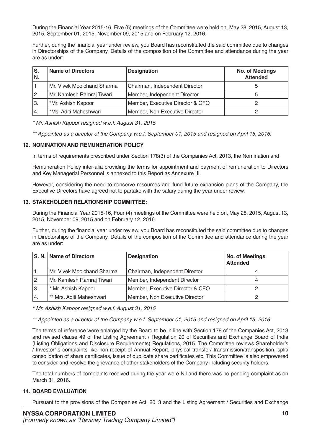During the Financial Year 2015-16, Five (5) meetings of the Committee were held on, May 28, 2015, August 13, 2015, September 01, 2015, November 09, 2015 and on February 12, 2016.

Further, during the financial year under review, you Board has reconstituted the said committee due to changes in Directorships of the Company. Details of the composition of the Committee and attendance during the year are as under:

| ۱S.<br>N.    | <b>Name of Directors</b>   | <b>Designation</b>               | <b>No. of Meetings</b><br><b>Attended</b> |
|--------------|----------------------------|----------------------------------|-------------------------------------------|
|              | Mr. Vivek Moolchand Sharma | Chairman, Independent Director   |                                           |
| $\mathbf{2}$ | Mr. Kamlesh Ramraj Tiwari  | Member, Independent Director     |                                           |
| 3.           | *Mr. Ashish Kapoor         | Member, Executive Director & CFO |                                           |
| 4.           | *Ms. Aditi Maheshwari      | Member, Non Executive Director   |                                           |

\* Mr. Ashish Kapoor resigned w.e.f. August 31, 2015

\*\* Appointed as a director of the Company w.e.f. September 01, 2015 and resigned on April 15, 2016.

### **12. NOMINATION AND REMUNERATION POLICY**

In terms of requirements prescribed under Section 178(3) of the Companies Act, 2013, the Nomination and

Remuneration Policy inter-alia providing the terms for appointment and payment of remuneration to Directors and Key Managerial Personnel is annexed to this Report as Annexure III.

However, considering the need to conserve resources and fund future expansion plans of the Company, the Executive Directors have agreed not to partake with the salary during the year under review.

### **13. STAKEHOLDER RELATIONSHIP COMMITTEE:**

During the Financial Year 2015-16, Four (4) meetings of the Committee were held on, May 28, 2015, August 13, 2015, November 09, 2015 and on February 12, 2016.

Further, during the financial year under review, you Board has reconstituted the said committee due to changes in Directorships of the Company. Details of the composition of the Committee and attendance during the year are as under:

|     | S. N.   Name of Directors  | <b>Designation</b>               | <b>No. of Meetings</b><br><b>Attended</b> |
|-----|----------------------------|----------------------------------|-------------------------------------------|
|     | Mr. Vivek Moolchand Sharma | Chairman, Independent Director   |                                           |
|     | Mr. Kamlesh Ramraj Tiwari  | Member, Independent Director     |                                           |
| ΄3. | * Mr. Ashish Kapoor        | Member, Executive Director & CFO |                                           |
|     | ** Mrs. Aditi Maheshwari   | Member, Non Executive Director   |                                           |

\* Mr. Ashish Kapoor resigned w.e.f. August 31, 2015

\*\* Appointed as a director of the Company w.e.f. September 01, 2015 and resigned on April 15, 2016.

The terms of reference were enlarged by the Board to be in line with Section 178 of the Companies Act, 2013 and revised clause 49 of the Listing Agreement / Regulation 20 of Securities and Exchange Board of India (Listing Obligations and Disclosure Requirements) Regulations, 2015. The Committee reviews Shareholder's / Investor' s complaints like non-receipt of Annual Report, physical transfer/ transmission/transposition, split/ consolidation of share certificates, issue of duplicate share certificates etc. This Committee is also empowered to consider and resolve the grievance of other stakeholders of the Company including security holders.

The total numbers of complaints received during the year were Nil and there was no pending complaint as on March 31, 2016.

### **14. BOARD EVALUATION**

Pursuant to the provisions of the Companies Act, 2013 and the Listing Agreement / Securities and Exchange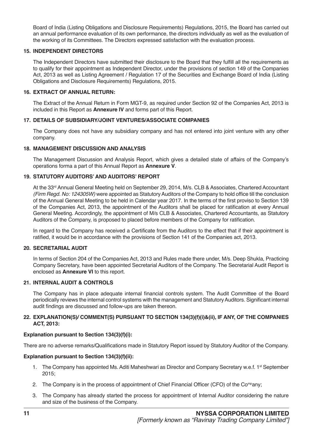Board of India (Listing Obligations and Disclosure Requirements) Regulations, 2015, the Board has carried out an annual performance evaluation of its own performance, the directors individually as well as the evaluation of the working of its Committees. The Directors expressed satisfaction with the evaluation process.

### **15. INDEPENDENT DIRECTORS**

The Independent Directors have submitted their disclosure to the Board that they fulfill all the requirements as to qualify for their appointment as Independent Director, under the provisions of section 149 of the Companies Act, 2013 as well as Listing Agreement / Regulation 17 of the Securities and Exchange Board of India (Listing Obligations and Disclosure Requirements) Regulations, 2015.

### **16. EXTRACT OF ANNUAL RETURN:**

The Extract of the Annual Return in Form MGT-9, as required under Section 92 of the Companies Act, 2013 is included in this Report as **Annexure IV** and forms part of this Report.

### **17. DETAILS OF SUBSIDIARY/JOINT VENTURES/ASSOCIATE COMPANIES**

The Company does not have any subsidiary company and has not entered into joint venture with any other company.

### **18. MANAGEMENT DISCUSSION AND ANALYSIS**

The Management Discussion and Analysis Report, which gives a detailed state of affairs of the Company's operations forma a part of this Annual Report as **Annexure V**.

### **19. STATUTORY AUDITORS' AND AUDITORS' REPORT**

At the 33<sup>rd</sup> Annual General Meeting held on September 29, 2014, M/s. CLB & Associates, Chartered Accountant (Firm Regd. No: 124305W) were appointed as Statutory Auditors of the Company to hold office till the conclusion of the Annual General Meeting to be held in Calendar year 2017. In the terms of the first proviso to Section 139 of the Companies Act, 2013, the appointment of the Auditors shall be placed for ratification at every Annual General Meeting. Accordingly, the appointment of M/s CLB & Associates, Chartered Accountants, as Statutory Auditors of the Company, is proposed to placed before members of the Company for ratification.

In regard to the Company has received a Certificate from the Auditors to the effect that if their appointment is ratified, it would be in accordance with the provisions of Section 141 of the Companies act, 2013.

### **20. SECRETARIAL AUDIT**

In terms of Section 204 of the Companies Act, 2013 and Rules made there under, M/s. Deep Shukla, Practicing Company Secretary, have been appointed Secretarial Auditors of the Company. The Secretarial Audit Report is enclosed as **Annexure VI** to this report.

### **21. INTERNAL AUDIT & CONTROLS**

The Company has in place adequate internal financial controls system. The Audit Committee of the Board periodically reviews the internal control systems with the management and Statutory Auditors. Significant internal audit findings are discussed and follow-ups are taken thereon.

### **22. EXPLANATION(S)/ COMMENT(S) PURSUANT TO SECTION 134(3)(f)(i)&(ii), IF ANY, OF THE COMPANIES ACT, 2013:**

### **Explanation pursuant to Section 134(3)(f)(i):**

There are no adverse remarks/Qualifications made in Statutory Report issued by Statutory Auditor of the Company.

### **Explanation pursuant to Section 134(3)(f)(ii):**

- 1. The Company has appointed Ms. Aditi Maheshwari as Director and Company Secretary w.e.f. 1<sup>st</sup> September 2015;
- 2. The Company is in the process of appointment of Chief Financial Officer (CFO) of the Co<sup>mp</sup>any;
- 3. The Company has already started the process for appointment of Internal Auditor considering the nature and size of the business of the Company.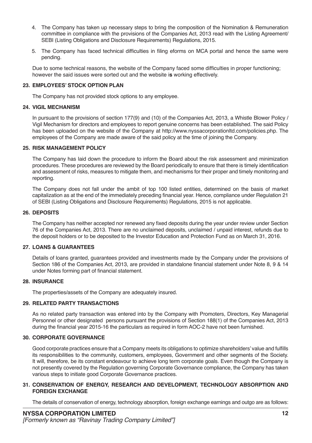- 4. The Company has taken up necessary steps to bring the composition of the Nomination & Remuneration committee in compliance with the provisions of the Companies Act, 2013 read with the Listing Agreement/ SEBI (Listing Obligations and Disclosure Requirements) Regulations, 2015.
- 5. The Company has faced technical difficulties in filing eforms on MCA portal and hence the same were pending.

Due to some technical reasons, the website of the Company faced some difficulties in proper functioning; however the said issues were sorted out and the website i**s** working effectively.

### **23. EMPLOYEES' STOCK OPTION PLAN**

The Company has not provided stock options to any employee.

### **24. VIGIL MECHANISM**

In pursuant to the provisions of section 177(9) and (10) of the Companies Act, 2013, a Whistle Blower Policy / Vigil Mechanism for directors and employees to report genuine concerns has been established. The said Policy has been uploaded on the website of the Company at http://www.nyssacorporationltd.com/policies.php. The employees of the Company are made aware of the said policy at the time of joining the Company.

### **25. RISK MANAGEMENT POLICY**

The Company has laid down the procedure to inform the Board about the risk assessment and minimization procedures. These procedures are reviewed by the Board periodically to ensure that there is timely identification and assessment of risks, measures to mitigate them, and mechanisms for their proper and timely monitoring and reporting.

The Company does not fall under the ambit of top 100 listed entities, determined on the basis of market capitalization as at the end of the immediately preceding financial year. Hence, compliance under Regulation 21 of SEBI (Listing Obligations and Disclosure Requirements) Regulations, 2015 is not applicable.

### **26. DEPOSITS**

The Company has neither accepted nor renewed any fixed deposits during the year under review under Section 76 of the Companies Act, 2013. There are no unclaimed deposits, unclaimed / unpaid interest, refunds due to the deposit holders or to be deposited to the Investor Education and Protection Fund as on March 31, 2016.

### **27. LOANS & GUARANTEES**

Details of loans granted, guarantees provided and investments made by the Company under the provisions of Section 186 of the Companies Act, 2013, are provided in standalone financial statement under Note 8, 9 & 14 under Notes forming part of financial statement.

### **28. INSURANCE**

The properties/assets of the Company are adequately insured.

### **29. RELATED PARTY TRANSACTIONS**

As no related party transaction was entered into by the Company with Promoters, Directors, Key Managerial Personnel or other designated persons pursuant the provisions of Section 188(1) of the Companies Act, 2013 during the financial year 2015-16 the particulars as required in form AOC-2 have not been furnished.

### **30. CORPORATE GOVERNANCE**

Good corporate practices ensure that a Company meets its obligations to optimize shareholders' value and fulfills its responsibilities to the community, customers, employees, Government and other segments of the Society. It will, therefore, be its constant endeavour to achieve long term corporate goals. Even though the Company is not presently covered by the Regulation governing Corporate Governance compliance, the Company has taken various steps to initiate good Corporate Governance practices.

### **31. CONSERVATION OF ENERGY, RESEARCH AND DEVELOPMENT, TECHNOLOGY ABSORPTION AND FOREIGN EXCHANGE**

The details of conservation of energy, technology absorption, foreign exchange earnings and outgo are as follows: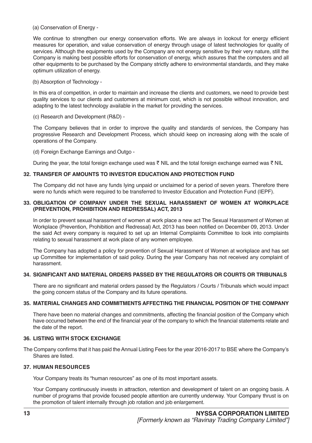(a) Conservation of Energy -

We continue to strengthen our energy conservation efforts. We are always in lookout for energy efficient measures for operation, and value conservation of energy through usage of latest technologies for quality of services. Although the equipments used by the Company are not energy sensitive by their very nature, still the Company is making best possible efforts for conservation of energy, which assures that the computers and all other equipments to be purchased by the Company strictly adhere to environmental standards, and they make optimum utilization of energy.

(b) Absorption of Technology -

In this era of competition, in order to maintain and increase the clients and customers, we need to provide best quality services to our clients and customers at minimum cost, which is not possible without innovation, and adapting to the latest technology available in the market for providing the services.

(c) Research and Development (R&D) -

The Company believes that in order to improve the quality and standards of services, the Company has progressive Research and Development Process, which should keep on increasing along with the scale of operations of the Company.

(d) Foreign Exchange Earnings and Outgo -

During the year, the total foreign exchange used was  $\bar{\tau}$  NIL and the total foreign exchange earned was  $\bar{\tau}$  NIL

### **32. TRANSFER OF AMOUNTS TO INVESTOR EDUCATION AND PROTECTION FUND**

The Company did not have any funds lying unpaid or unclaimed for a period of seven years. Therefore there were no funds which were required to be transferred to Investor Education and Protection Fund (IEPF).

### **33. OBLIGATION OF COMPANY UNDER THE SEXUAL HARASSMENT OF WOMEN AT WORKPLACE (PREVENTION, PROHIBITION AND REDRESSAL) ACT, 2013**

In order to prevent sexual harassment of women at work place a new act The Sexual Harassment of Women at Workplace (Prevention, Prohibition and Redressal) Act, 2013 has been notified on December 09, 2013. Under the said Act every company is required to set up an Internal Complaints Committee to look into complaints relating to sexual harassment at work place of any women employee.

The Company has adopted a policy for prevention of Sexual Harassment of Women at workplace and has set up Committee for implementation of said policy. During the year Company has not received any complaint of harassment.

### **34. SIGNIFICANT AND MATERIAL ORDERS PASSED BY THE REGULATORS OR COURTS OR TRIBUNALS**

There are no significant and material orders passed by the Regulators / Courts / Tribunals which would impact the going concern status of the Company and its future operations.

### **35. MATERIAL CHANGES AND COMMITMENTS AFFECTING THE FINANCIAL POSITION OF THE COMPANY**

There have been no material changes and commitments, affecting the financial position of the Company which have occurred between the end of the financial year of the company to which the financial statements relate and the date of the report.

### **36. LISTING WITH STOCK EXCHANGE**

The Company confirms that it has paid the Annual Listing Fees for the year 2016-2017 to BSE where the Company's Shares are listed.

### **37. HUMAN RESOURCES**

Your Company treats its "human resources" as one of its most important assets.

Your Company continuously invests in attraction, retention and development of talent on an ongoing basis. A number of programs that provide focused people attention are currently underway. Your Company thrust is on the promotion of talent internally through job rotation and job enlargement.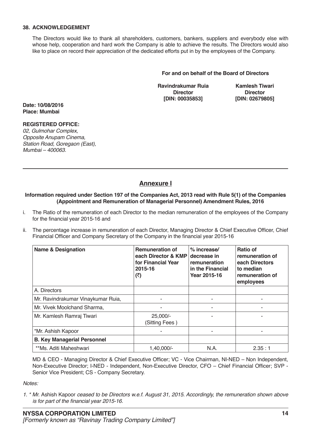### **38. ACKNOWLEDGEMENT**

The Directors would like to thank all shareholders, customers, bankers, suppliers and everybody else with whose help, cooperation and hard work the Company is able to achieve the results. The Directors would also like to place on record their appreciation of the dedicated efforts put in by the employees of the Company.

### **For and on behalf of the Board of Directors**

**Ravindrakumar Ruia Kamlesh Tiwari**<br>Director **Director Director [DIN: 00035853] [DIN: 02679805]**

**Date: 10/08/2016 Place: Mumbai**

### **REGISTERED OFFICE:**

02, Gulmohar Complex, *Opposite Anupam Cinema,*  Station Road, Goregaon (East), Mumbai – 400063.

### **Annexure I**

#### **Information required under Section 197 of the Companies Act, 2013 read with Rule 5(1) of the Companies (Appointment and Remuneration of Managerial Personnel) Amendment Rules, 2016**

- i. The Ratio of the remuneration of each Director to the median remuneration of the employees of the Company for the financial year 2015-16 and
- ii. The percentage increase in remuneration of each Director, Managing Director & Chief Executive Officer, Chief Financial Officer and Company Secretary of the Company in the financial year 2015-16

| <b>Name &amp; Designation</b>      | <b>Remuneration of</b><br>each Director & KMP<br>for Financial Year<br>2015-16<br>(₹) | $%$ increase/<br>decrease in<br>remuneration<br>in the Financial<br>Year 2015-16 | Ratio of<br>remuneration of<br>each Directors<br>to median<br>remuneration of<br>employees |
|------------------------------------|---------------------------------------------------------------------------------------|----------------------------------------------------------------------------------|--------------------------------------------------------------------------------------------|
| A. Directors                       |                                                                                       |                                                                                  |                                                                                            |
| Mr. Ravindrakumar Vinaykumar Ruia, |                                                                                       |                                                                                  |                                                                                            |
| Mr. Vivek Moolchand Sharma,        |                                                                                       |                                                                                  |                                                                                            |
| Mr. Kamlesh Ramraj Tiwari          | 25,000/-<br>(Sitting Fees)                                                            |                                                                                  |                                                                                            |
| *Mr. Ashish Kapoor                 |                                                                                       |                                                                                  |                                                                                            |
| <b>B. Key Managerial Personnel</b> |                                                                                       |                                                                                  |                                                                                            |
| **Ms. Aditi Maheshwari             | $1.40.000/-$                                                                          | N.A.                                                                             | 2.35:1                                                                                     |

MD & CEO - Managing Director & Chief Executive Officer; VC - Vice Chairman, NI-NED – Non Independent, Non-Executive Director; I-NED - Independent, Non-Executive Director, CFO – Chief Financial Officer; SVP - Senior Vice President; CS - Company Secretary.

*Notes:* 

*1. \* Mr.* Ashish Kapoor ceased to be Directors w.e.f. August 31, 2015. Accordingly, the remuneration shown above is for part of the financial year 2015-16.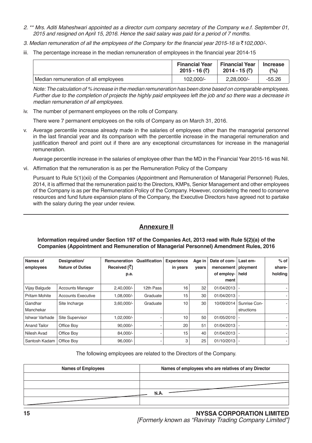- 2. \*\* Mrs. Aditi Maheshwari appointed as a director cum company secretary of the Company w.e.f. September 01, 2015 and resigned on April 15, 2016. Hence the said salary was paid for a period of 7 months.
- 3. Median remuneration of all the employees of the Company for the financial year 2015-16 is  $\bar{\tau}$ 102,000/-.
- iii. The percentage increase in the median remuneration of employees in the financial year 2014-15

|                                      | <b>Financial Year</b> | <b>Financial Year</b> | <b>Increase</b> |
|--------------------------------------|-----------------------|-----------------------|-----------------|
|                                      | 2015 - 16 (₹)         | 2014 - 15 (₹)         | (%)             |
| Median remuneration of all employees | 102.000/-             | $2,28,000/-$          | $-55.26$        |

Note: The calculation of % increase in the median remuneration has been done based on comparable employees. Further due to the completion of projects the highly paid employees left the job and so there was a decrease in median remuneration of all employees.

iv. The number of permanent employees on the rolls of Company.

There were 7 permanent employees on the rolls of Company as on March 31, 2016.

v. Average percentile increase already made in the salaries of employees other than the managerial personnel in the last financial year and its comparison with the percentile increase in the managerial remuneration and justification thereof and point out if there are any exceptional circumstances for increase in the managerial remuneration.

Average percentile increase in the salaries of employee other than the MD in the Financial Year 2015-16 was Nil.

vi. Affirmation that the remuneration is as per the Remuneration Policy of the Company

Pursuant to Rule 5(1)(xii) of the Companies (Appointment and Remuneration of Managerial Personnel) Rules, 2014, it is affirmed that the remuneration paid to the Directors, KMPs, Senior Management and other employees of the Company is as per the Remuneration Policy of the Company. However, considering the need to conserve resources and fund future expansion plans of the Company, the Executive Directors have agreed not to partake with the salary during the year under review.

### **Annexure II**

### **Information required under Section 197 of the Companies Act, 2013 read with Rule 5(2)(a) of the Companies (Appointment and Remuneration of Managerial Personnel) Amendment Rules, 2016**

| Names of<br>employees | Designation/<br><b>Nature of Duties</b> | <b>Remuneration</b><br>Received [7] | Qualification | <b>Experience</b><br>in years | Age in<br>vears | Date of com-<br>mencement | Last em-<br>ployment | $%$ of<br>share- |
|-----------------------|-----------------------------------------|-------------------------------------|---------------|-------------------------------|-----------------|---------------------------|----------------------|------------------|
|                       |                                         | p.a.                                |               |                               |                 | of employ-                | held                 | holding          |
|                       |                                         |                                     |               |                               |                 | ment                      |                      |                  |
| Vijay Balgude         | <b>Accounts Manager</b>                 | $2,40,000/-$                        | 12th Pass     | 16                            | 32              | $01/04/2013$ -            |                      |                  |
| <b>Pritam Mohite</b>  | <b>Accounts Executive</b>               | 1,08,000/-                          | Graduate      | 15                            | 30              | 01/04/2013                |                      |                  |
| Gandhar               | Site Incharge                           | $3,60,000/-$                        | Graduate      | 10                            | 30              | 10/09/2014                | Sunrise Con-         |                  |
| Manchekar             |                                         |                                     |               |                               |                 |                           | structions           |                  |
| Ishwar Varhade        | <b>Site Supervisor</b>                  | 1,02,000/-                          |               | 10                            | 50              | 01/05/2010                |                      |                  |
| <b>Anand Tailor</b>   | Office Boy                              | $90.000/-$                          |               | 20                            | 51              | $01/04/2013$ -            |                      |                  |
| Nilesh Avad           | Office Boy                              | 84.000/-                            |               | 15                            | 40              | 01/04/2013                |                      |                  |
| Santosh Kadam         | Office Bov                              | $96.000/-$                          |               | 3                             | 25              | $01/10/2013$ -            |                      |                  |

The following employees are related to the Directors of the Company.

| <b>Names of Employees</b> | Names of employees who are relatives of any Director |
|---------------------------|------------------------------------------------------|
|                           |                                                      |
|                           |                                                      |
|                           | <b>N.A.</b>                                          |
|                           |                                                      |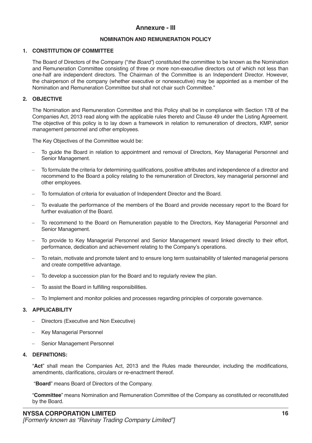### **Annexure - III**

### **NOMINATION AND REMUNERATION POLICY**

### **1. CONSTITUTION OF COMMITTEE**

The Board of Directors of the Company ("the Board") constituted the committee to be known as the Nomination and Remuneration Committee consisting of three or more non-executive directors out of which not less than one-half are independent directors. The Chairman of the Committee is an Independent Director. However, the chairperson of the company (whether executive or nonexecutive) may be appointed as a member of the Nomination and Remuneration Committee but shall not chair such Committee."

### **2. OBJECTIVE**

The Nomination and Remuneration Committee and this Policy shall be in compliance with Section 178 of the Companies Act, 2013 read along with the applicable rules thereto and Clause 49 under the Listing Agreement. The objective of this policy is to lay down a framework in relation to remuneration of directors, KMP, senior management personnel and other employees.

The Key Objectives of the Committee would be:

- To guide the Board in relation to appointment and removal of Directors, Key Managerial Personnel and Senior Management.
- To formulate the criteria for determining qualifications, positive attributes and independence of a director and recommend to the Board a policy relating to the remuneration of Directors, key managerial personnel and other employees.
- To formulation of criteria for evaluation of Independent Director and the Board.
- To evaluate the performance of the members of the Board and provide necessary report to the Board for further evaluation of the Board.
- To recommend to the Board on Remuneration payable to the Directors, Key Managerial Personnel and Senior Management.
- To provide to Key Managerial Personnel and Senior Management reward linked directly to their effort, performance, dedication and achievement relating to the Company's operations.
- To retain, motivate and promote talent and to ensure long term sustainability of talented managerial persons and create competitive advantage.
- To develop a succession plan for the Board and to regularly review the plan.
- To assist the Board in fulfilling responsibilities.
- To Implement and monitor policies and processes regarding principles of corporate governance.

### **3. APPLICABILITY**

- − Directors (Executive and Non Executive)
- Key Managerial Personnel
- Senior Management Personnel

### **4. DEFINITIONS:**

"**Act**" shall mean the Companies Act, 2013 and the Rules made thereunder, including the modifications, amendments, clarifications, circulars or re-enactment thereof.

"**Board**" means Board of Directors of the Company.

"**Committee**" means Nomination and Remuneration Committee of the Company as constituted or reconstituted by the Board.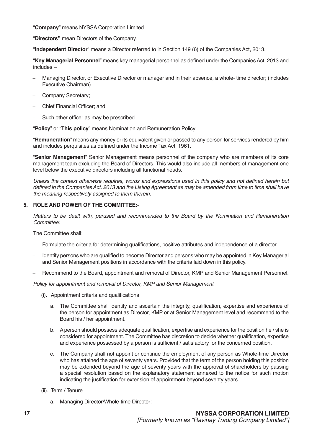"**Company**" means NYSSA Corporation Limited.

"**Directors"** mean Directors of the Company.

"**Independent Director**" means a Director referred to in Section 149 (6) of the Companies Act, 2013.

"**Key Managerial Personnel**" means key managerial personnel as defined under the Companies Act, 2013 and includes –

- Managing Director, or Executive Director or manager and in their absence, a whole- time director; (includes Executive Chairman)
- − Company Secretary;
- − Chief Financial Officer; and
- Such other officer as may be prescribed.

"**Policy**" or "**This policy**" means Nomination and Remuneration Policy.

"**Remuneration**" means any money or its equivalent given or passed to any person for services rendered by him and includes perquisites as defined under the Income Tax Act, 1961.

"**Senior Management**" Senior Management means personnel of the company who are members of its core management team excluding the Board of Directors. This would also include all members of management one level below the executive directors including all functional heads.

Unless the context otherwise requires, words and expressions used in this policy and not defined herein but defined in the Companies Act, 2013 and the Listing Agreement as may be amended from time to time shall have the meaning respectively assigned to them therein.

### **5. ROLE AND POWER OF THE COMMITTEE:-**

Matters to be dealt with, perused and recommended to the Board by the Nomination and Remuneration *Committee:*

The Committee shall:

- Formulate the criteria for determining qualifications, positive attributes and independence of a director.
- − Identify persons who are qualified to become Director and persons who may be appointed in Key Managerial and Senior Management positions in accordance with the criteria laid down in this policy.
- Recommend to the Board, appointment and removal of Director, KMP and Senior Management Personnel.

Policy for appointment and removal of Director, KMP and Senior Management

- (i). Appointment criteria and qualifications
	- a. The Committee shall identify and ascertain the integrity, qualification, expertise and experience of the person for appointment as Director, KMP or at Senior Management level and recommend to the Board his / her appointment.
	- b. A person should possess adequate qualification, expertise and experience for the position he / she is considered for appointment. The Committee has discretion to decide whether qualification, expertise and experience possessed by a person is sufficient / satisfactory for the concerned position.
	- c. The Company shall not appoint or continue the employment of any person as Whole-time Director who has attained the age of seventy years. Provided that the term of the person holding this position may be extended beyond the age of seventy years with the approval of shareholders by passing a special resolution based on the explanatory statement annexed to the notice for such motion indicating the justification for extension of appointment beyond seventy years.
- (ii). Term / Tenure
	- a. Managing Director/Whole-time Director: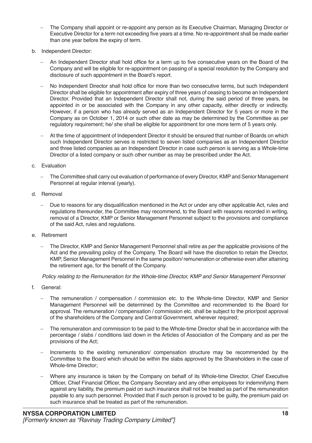- The Company shall appoint or re-appoint any person as its Executive Chairman, Managing Director or Executive Director for a term not exceeding five years at a time. No re-appointment shall be made earlier than one year before the expiry of term.
- b. Independent Director:
	- An Independent Director shall hold office for a term up to five consecutive years on the Board of the Company and will be eligible for re-appointment on passing of a special resolution by the Company and disclosure of such appointment in the Board's report.
	- No Independent Director shall hold office for more than two consecutive terms, but such Independent Director shall be eligible for appointment after expiry of three years of ceasing to become an Independent Director. Provided that an Independent Director shall not, during the said period of three years, be appointed in or be associated with the Company in any other capacity, either directly or indirectly. However, if a person who has already served as an Independent Director for 5 years or more in the Company as on October 1, 2014 or such other date as may be determined by the Committee as per regulatory requirement; he/ she shall be eligible for appointment for one more term of 5 years only.
	- At the time of appointment of Independent Director it should be ensured that number of Boards on which such Independent Director serves is restricted to seven listed companies as an Independent Director and three listed companies as an Independent Director in case such person is serving as a Whole-time Director of a listed company or such other number as may be prescribed under the Act.

### c. Evaluation

- The Committee shall carry out evaluation of performance of every Director, KMP and Senior Management Personnel at regular interval (yearly).
- d. Removal
	- − Due to reasons for any disqualification mentioned in the Act or under any other applicable Act, rules and regulations thereunder, the Committee may recommend, to the Board with reasons recorded in writing, removal of a Director, KMP or Senior Management Personnel subject to the provisions and compliance of the said Act, rules and regulations.
- e. Retirement
	- The Director, KMP and Senior Management Personnel shall retire as per the applicable provisions of the Act and the prevailing policy of the Company. The Board will have the discretion to retain the Director, KMP, Senior Management Personnel in the same position/ remuneration or otherwise even after attaining the retirement age, for the benefit of the Company.

Policy relating to the Remuneration for the Whole-time Director, KMP and Senior Management Personnel

- f. General:
	- The remuneration / compensation / commission etc. to the Whole-time Director, KMP and Senior Management Personnel will be determined by the Committee and recommended to the Board for approval. The remuneration / compensation / commission etc. shall be subject to the prior/post approval of the shareholders of the Company and Central Government, wherever required;
	- The remuneration and commission to be paid to the Whole-time Director shall be in accordance with the percentage / slabs / conditions laid down in the Articles of Association of the Company and as per the provisions of the Act;
	- Increments to the existing remuneration/ compensation structure may be recommended by the Committee to the Board which should be within the slabs approved by the Shareholders in the case of Whole-time Director;
	- Where any insurance is taken by the Company on behalf of its Whole-time Director, Chief Executive Officer, Chief Financial Officer, the Company Secretary and any other employees for indemnifying them against any liability, the premium paid on such insurance shall not be treated as part of the remuneration payable to any such personnel. Provided that if such person is proved to be guilty, the premium paid on such insurance shall be treated as part of the remuneration.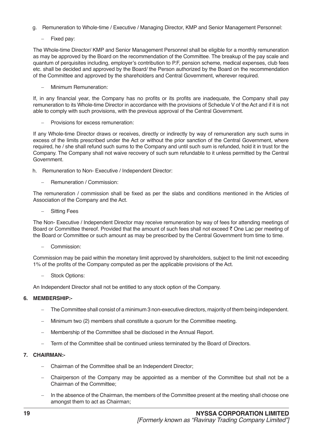- g. Remuneration to Whole-time / Executive / Managing Director, KMP and Senior Management Personnel:
	- − Fixed pay:

The Whole-time Director/ KMP and Senior Management Personnel shall be eligible for a monthly remuneration as may be approved by the Board on the recommendation of the Committee. The breakup of the pay scale and quantum of perquisites including, employer's contribution to P.F, pension scheme, medical expenses, club fees etc. shall be decided and approved by the Board/ the Person authorized by the Board on the recommendation of the Committee and approved by the shareholders and Central Government, wherever required.

Minimum Remuneration:

If, in any financial year, the Company has no profits or its profits are inadequate, the Company shall pay remuneration to its Whole-time Director in accordance with the provisions of Schedule V of the Act and if it is not able to comply with such provisions, with the previous approval of the Central Government.

Provisions for excess remuneration:

If any Whole-time Director draws or receives, directly or indirectly by way of remuneration any such sums in excess of the limits prescribed under the Act or without the prior sanction of the Central Government, where required, he / she shall refund such sums to the Company and until such sum is refunded, hold it in trust for the Company. The Company shall not waive recovery of such sum refundable to it unless permitted by the Central Government.

- h. Remuneration to Non- Executive / Independent Director:
	- **Remuneration / Commission:**

The remuneration / commission shall be fixed as per the slabs and conditions mentioned in the Articles of Association of the Company and the Act.

Sitting Fees

The Non- Executive / Independent Director may receive remuneration by way of fees for attending meetings of Board or Committee thereof. Provided that the amount of such fees shall not exceed  $\bar{\tau}$  One Lac per meeting of the Board or Committee or such amount as may be prescribed by the Central Government from time to time.

− Commission:

Commission may be paid within the monetary limit approved by shareholders, subject to the limit not exceeding 1% of the profits of the Company computed as per the applicable provisions of the Act.

− Stock Options:

An Independent Director shall not be entitled to any stock option of the Company.

### **6. MEMBERSHIP:-**

- The Committee shall consist of a minimum 3 non-executive directors, majority of them being independent.
- Minimum two (2) members shall constitute a quorum for the Committee meeting.
- Membership of the Committee shall be disclosed in the Annual Report.
- Term of the Committee shall be continued unless terminated by the Board of Directors.

### **7. CHAIRMAN:-**

- Chairman of the Committee shall be an Independent Director;
- Chairperson of the Company may be appointed as a member of the Committee but shall not be a Chairman of the Committee;
- In the absence of the Chairman, the members of the Committee present at the meeting shall choose one amongst them to act as Chairman;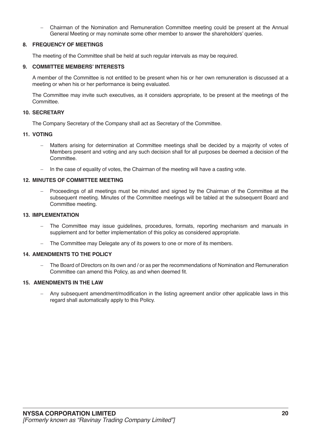− Chairman of the Nomination and Remuneration Committee meeting could be present at the Annual General Meeting or may nominate some other member to answer the shareholders' queries.

### **8. FREQUENCY OF MEETINGS**

The meeting of the Committee shall be held at such regular intervals as may be required.

#### **9. COMMITTEE MEMBERS' INTERESTS**

A member of the Committee is not entitled to be present when his or her own remuneration is discussed at a meeting or when his or her performance is being evaluated.

The Committee may invite such executives, as it considers appropriate, to be present at the meetings of the Committee.

#### **10. SECRETARY**

The Company Secretary of the Company shall act as Secretary of the Committee.

#### **11. VOTING**

- Matters arising for determination at Committee meetings shall be decided by a majority of votes of Members present and voting and any such decision shall for all purposes be deemed a decision of the Committee.
- − In the case of equality of votes, the Chairman of the meeting will have a casting vote.

#### **12. MINUTES OF COMMITTEE MEETING**

Proceedings of all meetings must be minuted and signed by the Chairman of the Committee at the subsequent meeting. Minutes of the Committee meetings will be tabled at the subsequent Board and Committee meeting.

#### **13. IMPLEMENTATION**

- The Committee may issue guidelines, procedures, formats, reporting mechanism and manuals in supplement and for better implementation of this policy as considered appropriate.
- The Committee may Delegate any of its powers to one or more of its members.

### **14. AMENDMENTS TO THE POLICY**

The Board of Directors on its own and / or as per the recommendations of Nomination and Remuneration Committee can amend this Policy, as and when deemed fit.

#### **15. AMENDMENTS IN THE LAW**

Any subsequent amendment/modification in the listing agreement and/or other applicable laws in this regard shall automatically apply to this Policy.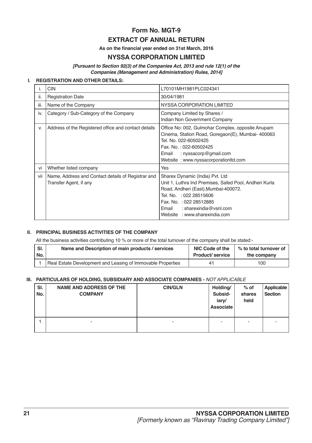### **Form No. MGT-9 EXTRACT OF ANNUAL RETURN**

**As on the financial year ended on 31st March, 2016**

### **NYSSA CORPORATION LIMITED**

*[Pursuant to Section 92(3) of the Companies Act, 2013 and rule 12(1) of the Companies (Management and Administration) Rules, 2014]*

### **I. REGISTRATION AND OTHER DETAILS:**

|      | <b>CIN</b>                                                                   | L70101MH1981PLC024341                                                                                                                                                                                                                                     |
|------|------------------------------------------------------------------------------|-----------------------------------------------------------------------------------------------------------------------------------------------------------------------------------------------------------------------------------------------------------|
| ii.  | <b>Registration Date</b>                                                     | 30/04/1981                                                                                                                                                                                                                                                |
| iii. | Name of the Company                                                          | NYSSA CORPORATION LIMITED                                                                                                                                                                                                                                 |
| iv.  | Category / Sub-Category of the Company                                       | Company Limited by Shares /<br>Indian Non Government Company                                                                                                                                                                                              |
| V.   | Address of the Registered office and contact details                         | Office No: 002, Gulmohar Complex, opposite Anupam<br>Cinema, Station Road, Goregaon(E), Mumbai- 400063<br>Tel. No. 022-60502425<br>Fax. No.: 022-60502425<br>: nyssacorp@gmail.com<br>Email<br>Website: www.nyssacorporationltd.com                       |
| vi   | Whether listed company                                                       | Yes                                                                                                                                                                                                                                                       |
| vii  | Name, Address and Contact details of Registrar and<br>Transfer Agent, if any | Sharex Dynamic (India) Pvt. Ltd<br>Unit 1, Luthra Ind Premises, Safed Pool, Andheri Kurla<br>Road, Andheri (East), Mumbai-400072.<br>Tel. No. : 022 28515606<br>Fax. No.: 022 28512885<br>Email<br>: sharexindia@vsnl.com<br>Website: www.sharexindia.com |

### **II. PRINCIPAL BUSINESS ACTIVITIES OF THE COMPANY**

All the business activities contributing 10 % or more of the total turnover of the company shall be stated:-

| SI. | Name and Description of main products / services            | NIC Code of the        | % to total turnover of |
|-----|-------------------------------------------------------------|------------------------|------------------------|
| No. |                                                             | <b>Product/service</b> | the company            |
|     | Real Estate Development and Leasing of Immovable Properties | 41                     | 100                    |

### **III. PARTICULARS OF HOLDING, SUBSIDIARY AND ASSOCIATE COMPANIES -** NOT APPLICABLE

| SI.<br>No. | <b>NAME AND ADDRESS OF THE</b><br><b>COMPANY</b> | <b>CIN/GLN</b> | Holding/<br>Subsid-<br>iary/<br><b>Associate</b> | $%$ of<br>shares<br>held | Applicable<br>Section |
|------------|--------------------------------------------------|----------------|--------------------------------------------------|--------------------------|-----------------------|
|            | -                                                | $\overline{a}$ | -                                                | ۰                        |                       |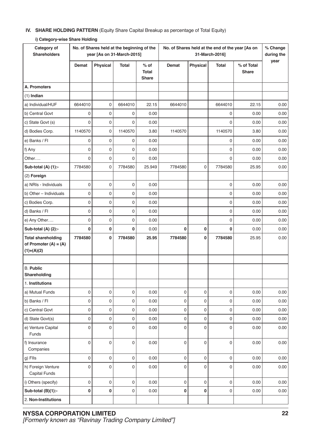### **IV. SHARE HOLDING PATTERN** (Equity Share Capital Breakup as percentage of Total Equity)

| Category of<br><b>Shareholders</b>                                   |             |                 | No. of Shares held at the beginning of the<br>year [As on 31-March-2015] |                                 | No. of Shares held at the end of the year [As on<br>31-March-2016] |          |             |                     |      |  |  |
|----------------------------------------------------------------------|-------------|-----------------|--------------------------------------------------------------------------|---------------------------------|--------------------------------------------------------------------|----------|-------------|---------------------|------|--|--|
|                                                                      | Demat       | <b>Physical</b> | Total                                                                    | $%$ of<br>Total<br><b>Share</b> | Demat                                                              | Physical | Total       | % of Total<br>Share | year |  |  |
| A. Promoters                                                         |             |                 |                                                                          |                                 |                                                                    |          |             |                     |      |  |  |
| $(1)$ Indian                                                         |             |                 |                                                                          |                                 |                                                                    |          |             |                     |      |  |  |
| a) Individual/HUF                                                    | 6644010     | 0               | 6644010                                                                  | 22.15                           | 6644010                                                            |          | 6644010     | 22.15               | 0.00 |  |  |
| b) Central Govt                                                      | 0           | 0               | 0                                                                        | 0.00                            |                                                                    |          | 0           | 0.00                | 0.00 |  |  |
| c) State Govt (s)                                                    | 0           | 0               | 0                                                                        | 0.00                            |                                                                    |          | $\mathbf 0$ | 0.00                | 0.00 |  |  |
| d) Bodies Corp.                                                      | 1140570     | 0               | 1140570                                                                  | 3.80                            | 1140570                                                            |          | 1140570     | 3.80                | 0.00 |  |  |
| e) Banks / Fl                                                        | 0           | 0               | 0                                                                        | 0.00                            |                                                                    |          | 0           | 0.00                | 0.00 |  |  |
| f) Any                                                               | 0           | 0               | 0                                                                        | 0.00                            |                                                                    |          | $\mathbf 0$ | 0.00                | 0.00 |  |  |
| Other                                                                | 0           | 0               | $\mathbf 0$                                                              | 0.00                            |                                                                    |          | 0           | 0.00                | 0.00 |  |  |
| Sub-total (A) (1):-                                                  | 7784580     | 0               | 7784580                                                                  | 25.949                          | 7784580                                                            | 0        | 7784580     | 25.95               | 0.00 |  |  |
| (2) Foreign                                                          |             |                 |                                                                          |                                 |                                                                    |          |             |                     |      |  |  |
| a) NRIs - Individuals                                                | 0           | 0               | $\mathbf 0$                                                              | 0.00                            |                                                                    |          | $\pmb{0}$   | 0.00                | 0.00 |  |  |
| b) Other - Individuals                                               | 0           | 0               | 0                                                                        | 0.00                            |                                                                    |          | 0           | 0.00                | 0.00 |  |  |
| c) Bodies Corp.                                                      | 0           | 0               | $\mathbf 0$                                                              | 0.00                            |                                                                    |          | 0           | 0.00                | 0.00 |  |  |
| d) Banks / Fl                                                        | 0           | 0               | 0                                                                        | 0.00                            |                                                                    |          | $\mathbf 0$ | 0.00                | 0.00 |  |  |
| e) Any Other                                                         | 0           | 0               | 0                                                                        | 0.00                            |                                                                    |          | $\mathbf 0$ | 0.00                | 0.00 |  |  |
| Sub-total (A) (2):-                                                  | 0           | 0               | 0                                                                        | 0.00                            | 0                                                                  | 0        | 0           | 0.00                | 0.00 |  |  |
| <b>Total shareholding</b><br>of Promoter $(A) = (A)$<br>$(1)+(A)(2)$ | 7784580     | 0               | 7784580                                                                  | 25.95                           | 7784580                                                            | 0        | 7784580     | 25.95               | 0.00 |  |  |
|                                                                      |             |                 |                                                                          |                                 |                                                                    |          |             |                     |      |  |  |
| <b>B.</b> Public<br>Shareholding                                     |             |                 |                                                                          |                                 |                                                                    |          |             |                     |      |  |  |
| 1. Institutions                                                      |             |                 |                                                                          |                                 |                                                                    |          |             |                     |      |  |  |
| a) Mutual Funds                                                      | 0           | 0               | 0                                                                        | 0.00                            | 0                                                                  | 0        | $\pmb{0}$   | 0.00                | 0.00 |  |  |
| b) Banks / Fl                                                        | 0           | 0               | $\mathbf 0$                                                              | 0.00                            | 0                                                                  | 0        | 0           | 0.00                | 0.00 |  |  |
| c) Central Govt                                                      | 0           | 0               | $\boldsymbol{0}$                                                         | 0.00                            | 0                                                                  | 0        | $\pmb{0}$   | 0.00                | 0.00 |  |  |
| d) State Govt(s)                                                     | 0           | 0               | $\boldsymbol{0}$                                                         | 0.00                            | 0                                                                  | 0        | 0           | 0.00                | 0.00 |  |  |
| e) Venture Capital<br>Funds                                          | 0           | 0               | $\mathbf 0$                                                              | 0.00                            | 0                                                                  | 0        | $\mathbf 0$ | 0.00                | 0.00 |  |  |
| f) Insurance<br>Companies                                            | 0           | 0               | $\mathbf 0$                                                              | 0.00                            | 0                                                                  | 0        | $\pmb{0}$   | 0.00                | 0.00 |  |  |
| g) Flls                                                              | $\mathsf 0$ | 0               | $\mathbf 0$                                                              | 0.00                            | 0                                                                  | 0        | $\pmb{0}$   | 0.00                | 0.00 |  |  |
| h) Foreign Venture<br><b>Capital Funds</b>                           | 0           | 0               | $\mathbf 0$                                                              | 0.00                            | 0                                                                  | 0        | $\pmb{0}$   | 0.00                | 0.00 |  |  |
| i) Others (specify)                                                  | 0           | 0               | $\mathbf 0$                                                              | 0.00                            | 0                                                                  | 0        | $\pmb{0}$   | 0.00                | 0.00 |  |  |
| Sub-total (B)(1):-                                                   | 0           | 0               | 0                                                                        | 0.00                            | 0                                                                  | 0        | 0           | 0.00                | 0.00 |  |  |
| 2. Non-Institutions                                                  |             |                 |                                                                          |                                 |                                                                    |          |             |                     |      |  |  |

#### **i) Category-wise Share Holding**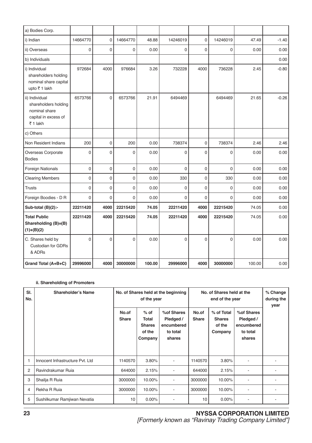| a) Bodies Corp.                                                                            |             |              |                     |        |             |                |                |        |         |
|--------------------------------------------------------------------------------------------|-------------|--------------|---------------------|--------|-------------|----------------|----------------|--------|---------|
| i) Indian                                                                                  | 14664770    | $\mathbf 0$  | 14664770            | 48.88  | 14246019    | 0              | 14246019       | 47.49  | $-1.40$ |
| ii) Overseas                                                                               | $\mathbf 0$ | $\mathbf 0$  | 0                   | 0.00   | $\mathbf 0$ | $\mathbf 0$    | $\mathbf 0$    | 0.00   | 0.00    |
| b) Individuals                                                                             |             |              |                     |        |             |                |                |        | 0.00    |
| i) Individual<br>shareholders holding<br>nominal share capital<br>upto ₹1 lakh             | 972684      | 4000         | 976684              | 3.26   | 732228      | 4000           | 736228         | 2.45   | $-0.80$ |
| ii) Individual<br>shareholders holding<br>nominal share<br>capital in excess of<br>₹1 lakh | 6573766     | $\mathbf{0}$ | 6573766             | 21.91  | 6494469     |                | 6494469        | 21.65  | $-0.26$ |
| c) Others                                                                                  |             |              |                     |        |             |                |                |        |         |
| Non Resident Indians                                                                       | 200         | $\mathbf 0$  | 200                 | 0.00   | 738374      | 0              | 738374         | 2.46   | 2.46    |
| Overseas Corporate<br><b>Bodies</b>                                                        | $\mathbf 0$ | $\mathbf 0$  | 0                   | 0.00   | $\mathbf 0$ | $\mathbf 0$    | $\mathbf 0$    | 0.00   | 0.00    |
| Foreign Nationals                                                                          | $\mathsf 0$ | $\mathbf 0$  | $\mathsf{O}\xspace$ | 0.00   | $\mathbf 0$ | $\mathbf 0$    | $\mathbf 0$    | 0.00   | 0.00    |
| <b>Clearing Members</b>                                                                    | $\mathsf 0$ | $\mathbf 0$  | 0                   | 0.00   | 330         | $\mathbf 0$    | 330            | 0.00   | 0.00    |
| <b>Trusts</b>                                                                              | $\mathbf 0$ | $\mathbf 0$  | 0                   | 0.00   | $\mathbf 0$ | 0              | $\mathbf 0$    | 0.00   | 0.00    |
| Foreign Boodies - D R                                                                      | $\mathbf 0$ | $\mathbf 0$  | 0                   | 0.00   | 0           | 0              | $\mathbf 0$    | 0.00   | 0.00    |
| Sub-total (B)(2):-                                                                         | 22211420    | 4000         | 22215420            | 74.05  | 22211420    | 4000           | 22215420       | 74.05  | 0.00    |
| <b>Total Public</b><br>Shareholding (B)=(B)<br>$(1)+(B)(2)$                                | 22211420    | 4000         | 22215420            | 74.05  | 22211420    | 4000           | 22215420       | 74.05  | 0.00    |
| C. Shares held by<br><b>Custodian for GDRs</b><br>& ADRs                                   | $\Omega$    | $\mathbf 0$  | 0                   | 0.00   | $\Omega$    | $\overline{0}$ | $\overline{0}$ | 0.00   | 0.00    |
| Grand Total (A+B+C)                                                                        | 29996000    | 4000         | 30000000            | 100.00 | 29996000    | 4000           | 30000000       | 100.00 | 0.00    |

### **ii. Shareholding of Promoters**

| SI.<br>No.     | <b>Shareholder's Name</b>        | No. of Shares held at the beginning<br>of the year |                                                       |                                                              | No. of Shares held at the<br>end of the year |                                                  |                                                             | % Change<br>during the<br>year |
|----------------|----------------------------------|----------------------------------------------------|-------------------------------------------------------|--------------------------------------------------------------|----------------------------------------------|--------------------------------------------------|-------------------------------------------------------------|--------------------------------|
|                |                                  | No.of<br><b>Share</b>                              | $%$ of<br>Total<br><b>Shares</b><br>of the<br>Company | % of Shares<br>Pledged /<br>encumbered<br>to total<br>shares | No.of<br><b>Share</b>                        | % of Total<br><b>Shares</b><br>of the<br>Company | %of Shares<br>Pledged /<br>encumbered<br>to total<br>shares |                                |
| 1              | Innocent Infrastructure Pvt. Ltd | 1140570                                            | 3.80%                                                 | ٠                                                            | 1140570                                      | 3.80%                                            |                                                             |                                |
| $\overline{2}$ | Ravindrakumar Ruja               | 644000                                             | 2.15%                                                 |                                                              | 644000                                       | 2.15%                                            |                                                             |                                |
| 3              | Shailja R Ruia                   | 3000000                                            | 10.00%                                                |                                                              | 3000000                                      | 10.00%                                           |                                                             |                                |
| 4              | Rekha R Ruia                     | 3000000                                            | 10.00%                                                |                                                              | 3000000                                      | 10.00%                                           |                                                             |                                |
| 5              | Sushilkumar Ramjiwan Nevatia     | 10                                                 | $0.00\%$                                              |                                                              | 10                                           | 0.00%                                            |                                                             |                                |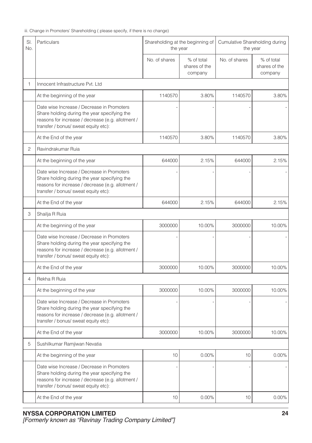iii. Change in Promoters' Shareholding ( please specify, if there is no change)

| SI.<br>No. | Particulars                                                                                                                                                                             | the year      | Shareholding at the beginning of       | Cumulative Shareholding during<br>the year |                                        |  |
|------------|-----------------------------------------------------------------------------------------------------------------------------------------------------------------------------------------|---------------|----------------------------------------|--------------------------------------------|----------------------------------------|--|
|            |                                                                                                                                                                                         | No. of shares | % of total<br>shares of the<br>company | No. of shares                              | % of total<br>shares of the<br>company |  |
| 1          | Innocent Infrastructure Pvt. Ltd                                                                                                                                                        |               |                                        |                                            |                                        |  |
|            | At the beginning of the year                                                                                                                                                            | 1140570       | 3.80%                                  | 1140570                                    | 3.80%                                  |  |
|            | Date wise Increase / Decrease in Promoters<br>Share holding during the year specifying the<br>reasons for increase / decrease (e.g. allotment /<br>transfer / bonus/ sweat equity etc): |               |                                        |                                            |                                        |  |
|            | At the End of the year                                                                                                                                                                  | 1140570       | 3.80%                                  | 1140570                                    | 3.80%                                  |  |
| 2          | Ravindrakumar Ruja                                                                                                                                                                      |               |                                        |                                            |                                        |  |
|            | At the beginning of the year                                                                                                                                                            | 644000        | 2.15%                                  | 644000                                     | 2.15%                                  |  |
|            | Date wise Increase / Decrease in Promoters<br>Share holding during the year specifying the<br>reasons for increase / decrease (e.g. allotment /<br>transfer / bonus/ sweat equity etc): |               |                                        |                                            |                                        |  |
|            | At the End of the year                                                                                                                                                                  | 644000        | 2.15%                                  | 644000                                     | 2.15%                                  |  |
| 3          | Shailja R Ruia                                                                                                                                                                          |               |                                        |                                            |                                        |  |
|            | At the beginning of the year                                                                                                                                                            | 3000000       | 10.00%                                 | 3000000                                    | 10.00%                                 |  |
|            | Date wise Increase / Decrease in Promoters<br>Share holding during the year specifying the<br>reasons for increase / decrease (e.g. allotment /<br>transfer / bonus/ sweat equity etc): |               |                                        |                                            |                                        |  |
|            | At the End of the year                                                                                                                                                                  | 3000000       | 10.00%                                 | 3000000                                    | 10.00%                                 |  |
| 4          | Rekha R Ruia                                                                                                                                                                            |               |                                        |                                            |                                        |  |
|            | At the beginning of the year                                                                                                                                                            | 3000000       | 10.00%                                 | 3000000                                    | 10.00%                                 |  |
|            | Date wise Increase / Decrease in Promoters<br>Share holding during the year specifying the<br>reasons for increase / decrease (e.g. allotment /<br>transfer / bonus/ sweat equity etc): |               |                                        |                                            |                                        |  |
|            | At the End of the year                                                                                                                                                                  | 3000000       | 10.00%                                 | 3000000                                    | 10.00%                                 |  |
| 5          | Sushilkumar Ramjiwan Nevatia                                                                                                                                                            |               |                                        |                                            |                                        |  |
|            | At the beginning of the year                                                                                                                                                            | 10            | 0.00%                                  | 10                                         | 0.00%                                  |  |
|            | Date wise Increase / Decrease in Promoters<br>Share holding during the year specifying the<br>reasons for increase / decrease (e.g. allotment /<br>transfer / bonus/ sweat equity etc): |               |                                        |                                            |                                        |  |
|            | At the End of the year                                                                                                                                                                  | 10            | 0.00%                                  | 10                                         | 0.00%                                  |  |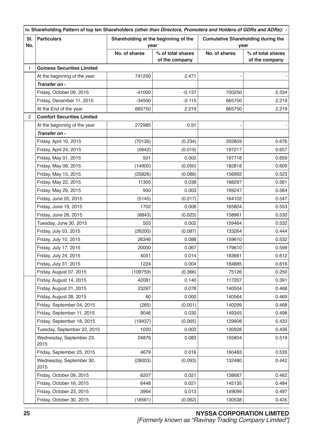|            | iv. Shareholding Pattern of top ten Shareholders (other than Directors, Promoters and Holders of GDRs and ADRs): - |                                              |                                     |                                                   |                                     |  |  |
|------------|--------------------------------------------------------------------------------------------------------------------|----------------------------------------------|-------------------------------------|---------------------------------------------------|-------------------------------------|--|--|
| SI.<br>No. | <b>Particulars</b>                                                                                                 | Shareholding at the beginning of the<br>year |                                     | <b>Cumulative Shareholding during the</b><br>year |                                     |  |  |
|            |                                                                                                                    | No. of shares                                | % of total shares<br>of the company | No. of shares                                     | % of total shares<br>of the company |  |  |
| 1          | <b>Guiness Securities Limited</b>                                                                                  |                                              |                                     |                                                   |                                     |  |  |
|            | At the beginning of the year                                                                                       | 741250                                       | 2.471                               |                                                   |                                     |  |  |
|            | Transfer on -                                                                                                      |                                              |                                     |                                                   |                                     |  |  |
|            | Friday, October 09, 2015                                                                                           | $-41000$                                     | $-0.137$                            | 700250                                            | 2.334                               |  |  |
|            | Friday, December 11, 2015                                                                                          | $-34500$                                     | $-0.115$                            | 665750                                            | 2.219                               |  |  |
|            | At the End of the year                                                                                             | 665750                                       | 2.219                               | 665750                                            | 2.219                               |  |  |
| 2          | <b>Comfort Securities Limited</b>                                                                                  |                                              |                                     |                                                   |                                     |  |  |
|            | At the beginning of the year                                                                                       | 272985                                       | 0.91                                |                                                   |                                     |  |  |
|            | Transfer on -                                                                                                      |                                              |                                     |                                                   |                                     |  |  |
|            | Friday, April 10, 2015                                                                                             | (70126)                                      | (0.234)                             | 202859                                            | 0.676                               |  |  |
|            | Friday, April 24, 2015                                                                                             | (5642)                                       | (0.019)                             | 197217                                            | 0.657                               |  |  |
|            | Friday, May 01, 2015                                                                                               | 501                                          | 0.002                               | 197718                                            | 0.659                               |  |  |
|            | Friday, May 08, 2015                                                                                               | (14900)                                      | (0.050)                             | 182818                                            | 0.609                               |  |  |
|            | Friday, May 15, 2015                                                                                               | (25826)                                      | (0.086)                             | 156992                                            | 0.523                               |  |  |
|            | Friday, May 22, 2015                                                                                               | 11305                                        | 0.038                               | 168297                                            | 0.561                               |  |  |
|            | Friday, May 29, 2015                                                                                               | 950                                          | 0.003                               | 169247                                            | 0.564                               |  |  |
|            | Friday, June 05, 2015                                                                                              | (5145)                                       | (0.017)                             | 164102                                            | 0.547                               |  |  |
|            | Friday, June 19, 2015                                                                                              | 1702                                         | 0.006                               | 165804                                            | 0.553                               |  |  |
|            | Friday, June 26, 2015                                                                                              | (6843)                                       | (0.023)                             | 158961                                            | 0.530                               |  |  |
|            | Tuesday, June 30, 2015                                                                                             | 503                                          | 0.002                               | 159464                                            | 0.532                               |  |  |
|            | Friday, July 03, 2015                                                                                              | (26200)                                      | (0.087)                             | 133264                                            | 0.444                               |  |  |
|            | Friday, July 10, 2015                                                                                              | 26346                                        | 0.088                               | 159610                                            | 0.532                               |  |  |
|            | Friday, July 17, 2015                                                                                              | 20000                                        | 0.067                               | 179610                                            | 0.599                               |  |  |
|            | Friday, July 24, 2015                                                                                              | 4051                                         | 0.014                               | 183661                                            | 0.612                               |  |  |
|            | Friday, July 31, 2015                                                                                              | 1224                                         | 0.004                               | 184885                                            | 0.616                               |  |  |
|            | Friday, August 07, 2015                                                                                            | (109759)                                     | (0.366)                             | 75126                                             | 0.250                               |  |  |
|            | Friday, August 14, 2015                                                                                            | 42081                                        | 0.140                               | 117207                                            | 0.391                               |  |  |
|            | Friday, August 21, 2015                                                                                            | 23297                                        | 0.078                               | 140504                                            | 0.468                               |  |  |
|            | Friday, August 28, 2015                                                                                            | 60                                           | 0.000                               | 140564                                            | 0.469                               |  |  |
|            | Friday, September 04, 2015                                                                                         | (265)                                        | (0.001)                             | 140299                                            | 0.468                               |  |  |
|            | Friday, September 11, 2015                                                                                         | 9046                                         | 0.030                               | 149345                                            | 0.498                               |  |  |
|            | Friday, September 18, 2015                                                                                         | (19437)                                      | (0.065)                             | 129908                                            | 0.433                               |  |  |
|            | Tuesday, September 22, 2015                                                                                        | 1020                                         | 0.003                               | 130928                                            | 0.436                               |  |  |
|            | Wednesday, September 23,<br>2015                                                                                   | 24876                                        | 0.083                               | 155804                                            | 0.519                               |  |  |
|            | Friday, September 25, 2015                                                                                         | 4679                                         | 0.016                               | 160483                                            | 0.535                               |  |  |
|            | Wednesday, September 30,<br>2015                                                                                   | (28003)                                      | (0.093)                             | 132480                                            | 0.442                               |  |  |
|            | Friday, October 09, 2015                                                                                           | 6207                                         | 0.021                               | 138687                                            | 0.462                               |  |  |
|            | Friday, October 16, 2015                                                                                           | 6448                                         | 0.021                               | 145135                                            | 0.484                               |  |  |
|            | Friday, October 23, 2015                                                                                           | 3964                                         | 0.013                               | 149099                                            | 0.497                               |  |  |
|            | Friday, October 30, 2015                                                                                           | (18561)                                      | (0.062)                             | 130538                                            | 0.435                               |  |  |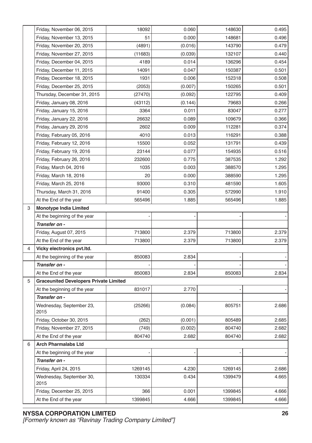|   | Friday, November 06, 2015                     | 18092   | 0.060   | 148630  | 0.495 |
|---|-----------------------------------------------|---------|---------|---------|-------|
|   | Friday, November 13, 2015                     | 51      | 0.000   | 148681  | 0.496 |
|   | Friday, November 20, 2015                     | (4891)  | (0.016) | 143790  | 0.479 |
|   | Friday, November 27, 2015                     | (11683) | (0.039) | 132107  | 0.440 |
|   | Friday, December 04, 2015                     | 4189    | 0.014   | 136296  | 0.454 |
|   | Friday, December 11, 2015                     | 14091   | 0.047   | 150387  | 0.501 |
|   | Friday, December 18, 2015                     | 1931    | 0.006   | 152318  | 0.508 |
|   | Friday, December 25, 2015                     | (2053)  | (0.007) | 150265  | 0.501 |
|   | Thursday, December 31, 2015                   | (27470) | (0.092) | 122795  | 0.409 |
|   | Friday, January 08, 2016                      | (43112) | (0.144) | 79683   | 0.266 |
|   | Friday, January 15, 2016                      | 3364    | 0.011   | 83047   | 0.277 |
|   | Friday, January 22, 2016                      | 26632   | 0.089   | 109679  | 0.366 |
|   | Friday, January 29, 2016                      | 2602    | 0.009   | 112281  | 0.374 |
|   | Friday, February 05, 2016                     | 4010    | 0.013   | 116291  | 0.388 |
|   | Friday, February 12, 2016                     | 15500   | 0.052   | 131791  | 0.439 |
|   | Friday, February 19, 2016                     | 23144   | 0.077   | 154935  | 0.516 |
|   | Friday, February 26, 2016                     | 232600  | 0.775   | 387535  | 1.292 |
|   | Friday, March 04, 2016                        | 1035    | 0.003   | 388570  | 1.295 |
|   | Friday, March 18, 2016                        | 20      | 0.000   | 388590  | 1.295 |
|   | Friday, March 25, 2016                        | 93000   | 0.310   | 481590  | 1.605 |
|   | Thursday, March 31, 2016                      | 91400   | 0.305   | 572990  | 1.910 |
|   | At the End of the year                        | 565496  | 1.885   | 565496  | 1.885 |
| 3 | <b>Monotype India Limited</b>                 |         |         |         |       |
|   | At the beginning of the year                  |         |         |         |       |
|   | Transfer on -                                 |         |         |         |       |
|   | Friday, August 07, 2015                       | 713800  | 2.379   | 713800  | 2.379 |
|   | At the End of the year                        | 713800  | 2.379   | 713800  | 2.379 |
| 4 | Vicky electronics pvt.ltd.                    |         |         |         |       |
|   | At the beginning of the year                  | 850083  | 2.834   |         |       |
|   | Transfer on -                                 |         |         |         |       |
|   | At the End of the year                        | 850083  | 2.834   | 850083  | 2.834 |
| 5 | <b>Graceunited Developers Private Limited</b> |         |         |         |       |
|   | At the beginning of the year                  | 831017  | 2.770   |         |       |
|   | Transfer on -                                 |         |         |         |       |
|   | Wednesday, September 23,<br>2015              | (25266) | (0.084) | 805751  | 2.686 |
|   | Friday, October 30, 2015                      | (262)   | (0.001) | 805489  | 2.685 |
|   | Friday, November 27, 2015                     | (749)   | (0.002) | 804740  | 2.682 |
|   | At the End of the year                        | 804740  | 2.682   | 804740  | 2.682 |
| 6 | <b>Arch Pharmalabs Ltd</b>                    |         |         |         |       |
|   | At the beginning of the year                  |         |         |         |       |
|   | Transfer on -                                 |         |         |         |       |
|   | Friday, April 24, 2015                        | 1269145 | 4.230   | 1269145 | 2.686 |
|   | Wednesday, September 30,<br>2015              | 130334  | 0.434   | 1399479 | 4.665 |
|   | Friday, December 25, 2015                     | 366     | 0.001   | 1399845 | 4.666 |
|   | At the End of the year                        | 1399845 | 4.666   | 1399845 | 4.666 |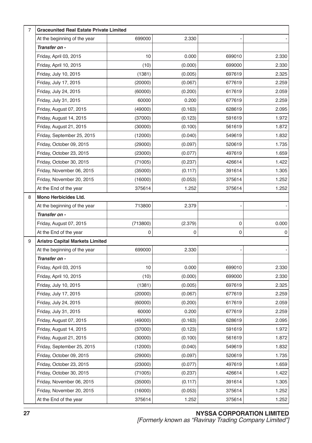| 7 | <b>Graceunited Real Estate Private Limited</b> |          |         |             |       |  |  |
|---|------------------------------------------------|----------|---------|-------------|-------|--|--|
|   | At the beginning of the year                   | 699000   | 2.330   |             |       |  |  |
|   | Transfer on -                                  |          |         |             |       |  |  |
|   | Friday, April 03, 2015                         | 10       | 0.000   | 699010      | 2.330 |  |  |
|   | Friday, April 10, 2015                         | (10)     | (0.000) | 699000      | 2.330 |  |  |
|   | Friday, July 10, 2015                          | (1381)   | (0.005) | 697619      | 2.325 |  |  |
|   | Friday, July 17, 2015                          | (20000)  | (0.067) | 677619      | 2.259 |  |  |
|   | Friday, July 24, 2015                          | (60000)  | (0.200) | 617619      | 2.059 |  |  |
|   | Friday, July 31, 2015                          | 60000    | 0.200   | 677619      | 2.259 |  |  |
|   | Friday, August 07, 2015                        | (49000)  | (0.163) | 628619      | 2.095 |  |  |
|   | Friday, August 14, 2015                        | (37000)  | (0.123) | 591619      | 1.972 |  |  |
|   | Friday, August 21, 2015                        | (30000)  | (0.100) | 561619      | 1.872 |  |  |
|   | Friday, September 25, 2015                     | (12000)  | (0.040) | 549619      | 1.832 |  |  |
|   | Friday, October 09, 2015                       | (29000)  | (0.097) | 520619      | 1.735 |  |  |
|   | Friday, October 23, 2015                       | (23000)  | (0.077) | 497619      | 1.659 |  |  |
|   | Friday, October 30, 2015                       | (71005)  | (0.237) | 426614      | 1.422 |  |  |
|   | Friday, November 06, 2015                      | (35000)  | (0.117) | 391614      | 1.305 |  |  |
|   | Friday, November 20, 2015                      | (16000)  | (0.053) | 375614      | 1.252 |  |  |
|   | At the End of the year                         | 375614   | 1.252   | 375614      | 1.252 |  |  |
| 8 | Mono Herbicides Ltd.                           |          |         |             |       |  |  |
|   | At the beginning of the year                   | 713800   | 2.379   |             |       |  |  |
|   | Transfer on -                                  |          |         |             |       |  |  |
|   | Friday, August 07, 2015                        | (713800) | (2.379) | 0           | 0.000 |  |  |
|   | At the End of the year                         | 0        | 0       | $\mathsf 0$ | 0     |  |  |
| 9 | <b>Aristro Capital Markets Limited</b>         |          |         |             |       |  |  |
|   | At the beginning of the year                   | 699000   | 2.330   |             |       |  |  |
|   | Transfer on -                                  |          |         |             |       |  |  |
|   | Friday, April 03, 2015                         | 10       | 0.000   | 699010      | 2.330 |  |  |
|   | Friday, April 10, 2015                         | (10)     | (0.000) | 699000      | 2.330 |  |  |
|   | Friday, July 10, 2015                          | (1381)   | (0.005) | 697619      | 2.325 |  |  |
|   | Friday, July 17, 2015                          | (20000)  | (0.067) | 677619      | 2.259 |  |  |
|   | Friday, July 24, 2015                          | (60000)  | (0.200) | 617619      | 2.059 |  |  |
|   | Friday, July 31, 2015                          | 60000    | 0.200   | 677619      | 2.259 |  |  |
|   | Friday, August 07, 2015                        | (49000)  | (0.163) | 628619      | 2.095 |  |  |
|   | Friday, August 14, 2015                        | (37000)  | (0.123) | 591619      | 1.972 |  |  |
|   | Friday, August 21, 2015                        | (30000)  | (0.100) | 561619      | 1.872 |  |  |
|   | Friday, September 25, 2015                     | (12000)  | (0.040) | 549619      | 1.832 |  |  |
|   | Friday, October 09, 2015                       | (29000)  | (0.097) | 520619      | 1.735 |  |  |
|   | Friday, October 23, 2015                       | (23000)  | (0.077) | 497619      | 1.659 |  |  |
|   | Friday, October 30, 2015                       | (71005)  | (0.237) | 426614      | 1.422 |  |  |
|   | Friday, November 06, 2015                      | (35000)  | (0.117) | 391614      | 1.305 |  |  |
|   | Friday, November 20, 2015                      | (16000)  | (0.053) | 375614      | 1.252 |  |  |
|   | At the End of the year                         | 375614   | 1.252   | 375614      | 1.252 |  |  |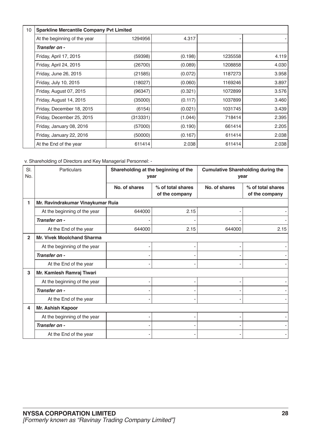| 10 | <b>Sparkline Mercantile Company Pvt Limited</b> |          |         |         |       |  |
|----|-------------------------------------------------|----------|---------|---------|-------|--|
|    | At the beginning of the year                    | 1294956  | 4.317   |         |       |  |
|    | Transfer on -                                   |          |         |         |       |  |
|    | Friday, April 17, 2015                          | (59398)  | (0.198) | 1235558 | 4.119 |  |
|    | Friday, April 24, 2015                          | (26700)  | (0.089) | 1208858 | 4.030 |  |
|    | Friday, June 26, 2015                           | (21585)  | (0.072) | 1187273 | 3.958 |  |
|    | Friday, July 10, 2015                           | (18027)  | (0.060) | 1169246 | 3.897 |  |
|    | Friday, August 07, 2015                         | (96347)  | (0.321) | 1072899 | 3.576 |  |
|    | Friday, August 14, 2015                         | (35000)  | (0.117) | 1037899 | 3.460 |  |
|    | Friday, December 18, 2015                       | (6154)   | (0.021) | 1031745 | 3.439 |  |
|    | Friday, December 25, 2015                       | (313331) | (1.044) | 718414  | 2.395 |  |
|    | Friday, January 08, 2016                        | (57000)  | (0.190) | 661414  | 2.205 |  |
|    | Friday, January 22, 2016                        | (50000)  | (0.167) | 611414  | 2.038 |  |
|    | At the End of the year                          | 611414   | 2.038   | 611414  | 2.038 |  |

v. Shareholding of Directors and Key Managerial Personnel: -

| SI.<br>No.     | Particulars                       | Shareholding at the beginning of the<br>year |                                     | <b>Cumulative Shareholding during the</b><br>year |                                     |  |
|----------------|-----------------------------------|----------------------------------------------|-------------------------------------|---------------------------------------------------|-------------------------------------|--|
|                |                                   | No. of shares                                | % of total shares<br>of the company | No. of shares                                     | % of total shares<br>of the company |  |
|                | Mr. Ravindrakumar Vinaykumar Ruia |                                              |                                     |                                                   |                                     |  |
|                | At the beginning of the year      | 644000                                       | 2.15                                |                                                   |                                     |  |
|                | Transfer on -                     |                                              |                                     |                                                   |                                     |  |
|                | At the End of the year            | 644000                                       | 2.15                                | 644000                                            | 2.15                                |  |
| $\overline{2}$ | <b>Mr. Vivek Moolchand Sharma</b> |                                              |                                     |                                                   |                                     |  |
|                | At the beginning of the year      |                                              |                                     |                                                   |                                     |  |
|                | Transfer on -                     |                                              |                                     |                                                   |                                     |  |
|                | At the End of the year            |                                              |                                     |                                                   |                                     |  |
| 3              | Mr. Kamlesh Ramraj Tiwari         |                                              |                                     |                                                   |                                     |  |
|                | At the beginning of the year      |                                              |                                     |                                                   |                                     |  |
|                | Transfer on -                     |                                              |                                     |                                                   |                                     |  |
|                | At the End of the year            |                                              | ۰                                   |                                                   |                                     |  |
| 4              | Mr. Ashish Kapoor                 |                                              |                                     |                                                   |                                     |  |
|                | At the beginning of the year      |                                              |                                     |                                                   |                                     |  |
|                | Transfer on -                     |                                              |                                     |                                                   |                                     |  |
|                | At the End of the year            |                                              |                                     |                                                   |                                     |  |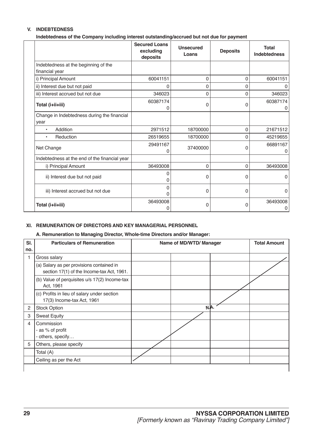### **V. INDEBTEDNESS**

**Indebtedness of the Company including interest outstanding/accrued but not due for payment** 

|                                                        | <b>Secured Loans</b><br>excluding<br>deposits | <b>Unsecured</b><br>Loans | <b>Deposits</b> | Total<br><b>Indebtedness</b> |
|--------------------------------------------------------|-----------------------------------------------|---------------------------|-----------------|------------------------------|
| Indebtedness at the beginning of the<br>financial year |                                               |                           |                 |                              |
| i) Principal Amount                                    | 60041151                                      | $\Omega$                  | 0               | 60041151                     |
| ii) Interest due but not paid                          | 0                                             | $\Omega$                  | 0               | 0                            |
| iii) Interest accrued but not due                      | 346023                                        | $\Omega$                  | 0               | 346023                       |
| Total (i+ii+iii)                                       | 60387174                                      | 0                         | 0               | 60387174                     |
| Change in Indebtedness during the financial<br>year    |                                               |                           |                 |                              |
| Addition<br>$\bullet$                                  | 2971512                                       | 18700000                  | $\mathbf{0}$    | 21671512                     |
| Reduction<br>$\bullet$                                 | 26519655                                      | 18700000                  | $\Omega$        | 45219655                     |
| Net Change                                             | 29491167                                      | 37400000                  | O               | 66891167<br>0                |
| Indebtedness at the end of the financial year          |                                               |                           |                 |                              |
| i) Principal Amount                                    | 36493008                                      | $\Omega$                  | $\mathbf{0}$    | 36493008                     |
| ii) Interest due but not paid                          | ი<br>O                                        | $\Omega$                  | 0               | <sup>0</sup>                 |
| iii) Interest accrued but not due                      | 0<br>ი                                        | $\overline{0}$            | 0               | $\Omega$                     |
| Total (i+ii+iii)                                       | 36493008<br>0                                 | $\Omega$                  | 0               | 36493008<br>0                |

### **XI. REMUNERATION OF DIRECTORS AND KEY MANAGERIAL PERSONNEL**

### **A. Remuneration to Managing Director, Whole-time Directors and/or Manager:**

| SI.            | <b>Particulars of Remuneration</b>                                                      | Name of MD/WTD/ Manager |  |  |
|----------------|-----------------------------------------------------------------------------------------|-------------------------|--|--|
| no.            |                                                                                         |                         |  |  |
| 1              | Gross salary                                                                            |                         |  |  |
|                | (a) Salary as per provisions contained in<br>section 17(1) of the Income-tax Act, 1961. |                         |  |  |
|                | (b) Value of perquisites u/s 17(2) Income-tax<br>Act, 1961                              |                         |  |  |
|                | (c) Profits in lieu of salary under section<br>17(3) Income-tax Act, 1961               |                         |  |  |
| 2              | <b>Stock Option</b>                                                                     | N.A.                    |  |  |
| 3              | <b>Sweat Equity</b>                                                                     |                         |  |  |
| $\overline{4}$ | Commission<br>- as % of profit<br>- others, specify                                     |                         |  |  |
| 5              | Others, please specify                                                                  |                         |  |  |
|                | Total (A)                                                                               |                         |  |  |
|                | Ceiling as per the Act                                                                  |                         |  |  |
|                |                                                                                         |                         |  |  |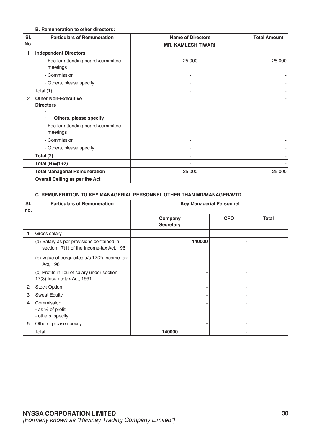|     | B. Remuneration to other directors:                                                   |                           |                     |  |  |  |
|-----|---------------------------------------------------------------------------------------|---------------------------|---------------------|--|--|--|
| SI. | <b>Particulars of Remuneration</b>                                                    | <b>Name of Directors</b>  | <b>Total Amount</b> |  |  |  |
| No. |                                                                                       | <b>MR. KAMLESH TIWARI</b> |                     |  |  |  |
| 1   | <b>Independent Directors</b>                                                          |                           |                     |  |  |  |
|     | - Fee for attending board /committee<br>meetings                                      | 25,000                    | 25,000              |  |  |  |
|     | - Commission                                                                          |                           |                     |  |  |  |
|     | - Others, please specify                                                              |                           |                     |  |  |  |
|     | Total (1)                                                                             |                           |                     |  |  |  |
| 2   | <b>Other Non-Executive</b><br><b>Directors</b><br>Others, please specify<br>$\bullet$ |                           |                     |  |  |  |
|     | - Fee for attending board /committee<br>meetings                                      |                           |                     |  |  |  |
|     | - Commission                                                                          |                           |                     |  |  |  |
|     | - Others, please specify                                                              |                           |                     |  |  |  |
|     | Total (2)                                                                             |                           |                     |  |  |  |
|     | Total $(B)=(1+2)$                                                                     |                           |                     |  |  |  |
|     | <b>Total Managerial Remuneration</b>                                                  | 25,000                    | 25,000              |  |  |  |
|     | Overall Ceiling as per the Act                                                        |                           |                     |  |  |  |
|     |                                                                                       |                           |                     |  |  |  |

### **C. REMUNERATION TO KEY MANAGERIAL PERSONNEL OTHER THAN MD/MANAGER/WTD**

| SI.<br>no. | <b>Particulars of Remuneration</b>                                                     | <b>Key Managerial Personnel</b> |            |              |  |
|------------|----------------------------------------------------------------------------------------|---------------------------------|------------|--------------|--|
|            |                                                                                        | Company<br><b>Secretary</b>     | <b>CFO</b> | <b>Total</b> |  |
|            | Gross salary                                                                           |                                 |            |              |  |
|            | (a) Salary as per provisions contained in<br>section 17(1) of the Income-tax Act, 1961 | 140000                          |            |              |  |
|            | (b) Value of perquisites u/s 17(2) Income-tax<br>Act, 1961                             |                                 |            |              |  |
|            | (c) Profits in lieu of salary under section<br>17(3) Income-tax Act, 1961              |                                 |            |              |  |
| 2          | <b>Stock Option</b>                                                                    |                                 |            |              |  |
| 3          | <b>Sweat Equity</b>                                                                    |                                 |            |              |  |
| 4          | Commission<br>- as % of profit<br>- others, specify                                    |                                 |            |              |  |
| 5          | Others, please specify                                                                 |                                 |            |              |  |
|            | Total                                                                                  | 140000                          |            |              |  |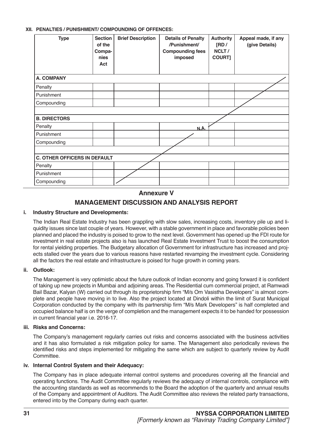### **XII. PENALTIES / PUNISHMENT/ COMPOUNDING OF OFFENCES:**

| <b>Type</b>                         | <b>Section</b><br>of the<br>Compa-<br>nies<br>Act | <b>Brief Description</b> | <b>Details of Penalty</b><br>/Punishment/<br><b>Compounding fees</b><br>imposed | <b>Authority</b><br>[RD/<br>NCLT/<br><b>COURT]</b> | Appeal made, if any<br>(give Details) |
|-------------------------------------|---------------------------------------------------|--------------------------|---------------------------------------------------------------------------------|----------------------------------------------------|---------------------------------------|
| <b>A. COMPANY</b>                   |                                                   |                          |                                                                                 |                                                    |                                       |
| Penalty                             |                                                   |                          |                                                                                 |                                                    |                                       |
| Punishment                          |                                                   |                          |                                                                                 |                                                    |                                       |
| Compounding                         |                                                   |                          |                                                                                 |                                                    |                                       |
|                                     |                                                   |                          |                                                                                 |                                                    |                                       |
| <b>B. DIRECTORS</b>                 |                                                   |                          |                                                                                 |                                                    |                                       |
| Penalty                             |                                                   |                          | N.A.                                                                            |                                                    |                                       |
| Punishment                          |                                                   |                          |                                                                                 |                                                    |                                       |
| Compounding                         |                                                   |                          |                                                                                 |                                                    |                                       |
|                                     |                                                   |                          |                                                                                 |                                                    |                                       |
| <b>C. OTHER OFFICERS IN DEFAULT</b> |                                                   |                          |                                                                                 |                                                    |                                       |
| Penalty                             |                                                   |                          |                                                                                 |                                                    |                                       |
| Punishment                          |                                                   |                          |                                                                                 |                                                    |                                       |
| Compounding                         |                                                   |                          |                                                                                 |                                                    |                                       |

### **Annexure V MANAGEMENT DISCUSSION AND ANALYSIS REPORT**

### **i. Industry Structure and Developments:**

The Indian Real Estate Industry has been grappling with slow sales, increasing costs, inventory pile up and liquidity issues since last couple of years. However, with a stable government in place and favorable policies been planned and placed the industry is poised to grow to the next level. Government has opened up the FDI route for investment in real estate projects also is has launched Real Estate Investment Trust to boost the consumption for rental yielding properties. The Budgetary allocation of Government for infrastructure has increased and projects stalled over the years due to various reasons have restarted revamping the investment cycle. Considering all the factors the real estate and infrastructure is poised for huge growth in coming years.

### **ii. Outlook:**

The Management is very optimistic about the future outlook of Indian economy and going forward it is confident of taking up new projects in Mumbai and adjoining areas. The Residential cum commercial project, at Ramwadi Bail Bazar, Kalyan (W) carried out through its proprietorship firm "M/s Om Vasistha Developers" is almost complete and people have moving in to live. Also the project located at Dindoli within the limit of Surat Municipal Corporation conducted by the company with its partnership firm "M/s Mark Developers" is half completed and occupied balance half is on the verge of completion and the management expects it to be handed for possession in current financial year i.e. 2016-17.

### **iii. Risks and Concerns:**

The Company's management regularly carries out risks and concerns associated with the business activities and it has also formulated a risk mitigation policy for same. The Management also periodically reviews the identified risks and steps implemented for mitigating the same which are subject to quarterly review by Audit Committee.

### **iv. Internal Control System and their Adequacy:**

The Company has in place adequate internal control systems and procedures covering all the financial and operating functions. The Audit Committee regularly reviews the adequacy of internal controls, compliance with the accounting standards as well as recommends to the Board the adoption of the quarterly and annual results of the Company and appointment of Auditors. The Audit Committee also reviews the related party transactions, entered into by the Company during each quarter.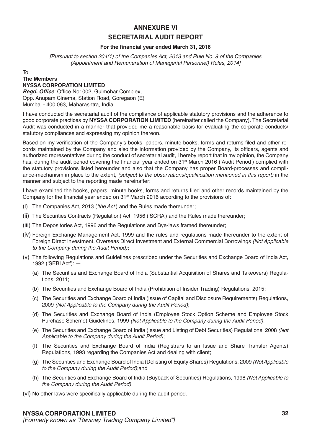### **ANNEXURE VI SECRETARIAL AUDIT REPORT**

### **For the financial year ended March 31, 2016**

[Pursuant to section 204(1) of the Companies Act, 2013 and Rule No. 9 of the Companies (Appointment and Remuneration of Managerial Personnel) Rules, 2014]

### To **The Members NYSSA CORPORATION LIMITED**

**Regd. Office**: Office No: 002, Gulmohar Complex, Opp. Anupam Cinema, Station Road, Goregaon (E) Mumbai - 400 063, Maharashtra, India.

I have conducted the secretarial audit of the compliance of applicable statutory provisions and the adherence to good corporate practices by **NYSSA CORPORATION LIMITED** (hereinafter called the Company). The Secretarial Audit was conducted in a manner that provided me a reasonable basis for evaluating the corporate conducts/ statutory compliances and expressing my opinion thereon.

Based on my verification of the Company's books, papers, minute books, forms and returns filed and other records maintained by the Company and also the information provided by the Company, its officers, agents and authorized representatives during the conduct of secretarial audit, I hereby report that in my opinion, the Company has, during the audit period covering the financial year ended on 31<sup>st</sup> March 2016 ('Audit Period') complied with the statutory provisions listed hereunder and also that the Company has proper Board-processes and compliance-mechanism in place to the extent, (subject to the observations/qualification mentioned in this report) in the manner and subject to the reporting made hereinafter:

I have examined the books, papers, minute books, forms and returns filed and other records maintained by the Company for the financial year ended on  $31<sup>st</sup>$  March 2016 according to the provisions of:

- (i) The Companies Act, 2013 ('the Act') and the Rules made thereunder;
- (ii) The Securities Contracts (Regulation) Act, 1956 ('SCRA') and the Rules made thereunder;
- (iii) The Depositories Act, 1996 and the Regulations and Bye-laws framed thereunder;
- (iv) Foreign Exchange Management Act, 1999 and the rules and regulations made thereunder to the extent of Foreign Direct Investment, Overseas Direct Investment and External Commercial Borrowings (Not Applicable to the Company during the Audit Period)**;**
- (v) The following Regulations and Guidelines prescribed under the Securities and Exchange Board of India Act, 1992 ('SEBI Act'): —
	- (a) The Securities and Exchange Board of India (Substantial Acquisition of Shares and Takeovers) Regulations, 2011;
	- (b) The Securities and Exchange Board of India (Prohibition of Insider Trading) Regulations, 2015;
	- (c) The Securities and Exchange Board of India (Issue of Capital and Disclosure Requirements) Regulations, 2009 (Not Applicable to the Company during the Audit Period);
	- (d) The Securities and Exchange Board of India (Employee Stock Option Scheme and Employee Stock Purchase Scheme) Guidelines, 1999 (Not Applicable to the Company during the Audit Period);
	- (e) The Securities and Exchange Board of India (Issue and Listing of Debt Securities) Regulations, 2008 *(Not*  Applicable to the Company during the Audit Period);
	- (f) The Securities and Exchange Board of India (Registrars to an Issue and Share Transfer Agents) Regulations, 1993 regarding the Companies Act and dealing with client;
	- (g) The Securities and Exchange Board of India (Delisting of Equity Shares) Regulations, 2009 (Not Applicable to the Company during the Audit Period);and
	- (h) The Securities and Exchange Board of India (Buyback of Securities) Regulations, 1998 (Not Applicable to the Company during the Audit Period);

(vi) No other laws were specifically applicable during the audit period.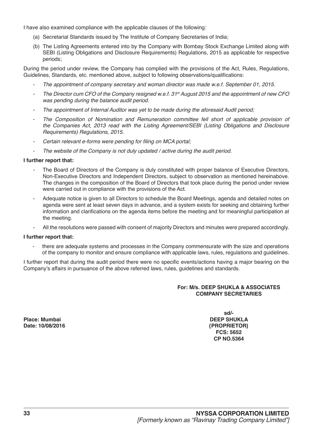I have also examined compliance with the applicable clauses of the following:

- (a) Secretarial Standards issued by The Institute of Company Secretaries of India;
- (b) The Listing Agreements entered into by the Company with Bombay Stock Exchange Limited along with SEBI (Listing Obligations and Disclosure Requirements) Regulations, 2015 as applicable for respective periods;

During the period under review, the Company has complied with the provisions of the Act, Rules, Regulations, Guidelines, Standards, etc. mentioned above, subject to following observations/qualifications:

- The appointment of company secretary and woman director was made w.e.f. September 01, 2015.
- The Director cum CFO of the Company resigned w.e.f. 31*st* August 2015 and the appointment of new CFO was pending during the balance audit period.
- The appointment of Internal Auditor was yet to be made during the aforesaid Audit period;
- The Composition of Nomination and Remuneration committee fell short of applicable provision of the Companies Act, 2013 read with the Listing Agreement/SEBI (Listing Obligations and Disclosure Requirements) Regulations, 2015.
- Certain relevant e-forms were pending for filing on MCA portal;
- The website of the Company is not duly updated / active during the audit period.

### **I further report that:**

- The Board of Directors of the Company is duly constituted with proper balance of Executive Directors, Non-Executive Directors and Independent Directors, subject to observation as mentioned hereinabove. The changes in the composition of the Board of Directors that took place during the period under review were carried out in compliance with the provisions of the Act.
- Adequate notice is given to all Directors to schedule the Board Meetings, agenda and detailed notes on agenda were sent at least seven days in advance, and a system exists for seeking and obtaining further information and clarifications on the agenda items before the meeting and for meaningful participation at the meeting.
- All the resolutions were passed with consent of majority Directors and minutes were prepared accordingly.

### **I further report that:**

there are adequate systems and processes in the Company commensurate with the size and operations of the company to monitor and ensure compliance with applicable laws, rules, regulations and guidelines.

I further report that during the audit period there were no specific events/actions having a major bearing on the Company's affairs in pursuance of the above referred laws, rules, guidelines and standards.

### **For: M/s. DEEP SHUKLA & ASSOCIATES COMPANY SECRETARIES**

**Place: Mumbai DEEP SHUKLA**

**sd/- Date: 10/08/2016 {PROPRIETOR} FCS: 5652 CP NO.5364**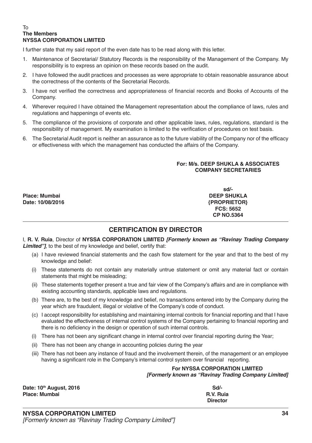#### To **The Members NYSSA CORPORATION LIMITED**

I further state that my said report of the even date has to be read along with this letter.

- 1. Maintenance of Secretarial/ Statutory Records is the responsibility of the Management of the Company. My responsibility is to express an opinion on these records based on the audit.
- 2. I have followed the audit practices and processes as were appropriate to obtain reasonable assurance about the correctness of the contents of the Secretarial Records.
- 3. I have not verified the correctness and appropriateness of financial records and Books of Accounts of the Company.
- 4. Wherever required I have obtained the Management representation about the compliance of laws, rules and regulations and happenings of events etc.
- 5. The compliance of the provisions of corporate and other applicable laws, rules, regulations, standard is the responsibility of management. My examination is limited to the verification of procedures on test basis.
- 6. The Secretarial Audit report is neither an assurance as to the future viability of the Company nor of the efficacy or effectiveness with which the management has conducted the affairs of the Company.

### **For: M/s. DEEP SHUKLA & ASSOCIATES COMPANY SECRETARIES**

**Place: Mumbai DEEP SHUKLA Date: 10/08/2016 {PROPRIETOR}**

**sd/- FCS: 5652 CP NO.5364**

### **CERTIFICATION BY DIRECTOR**

I, **R. V. Ruia**, Director of **NYSSA CORPORATION LIMITED** *[Formerly known as "Ravinay Trading Company Limited"]*, to the best of my knowledge and belief, certify that:

- (a) I have reviewed financial statements and the cash flow statement for the year and that to the best of my knowledge and belief:
- (i) These statements do not contain any materially untrue statement or omit any material fact or contain statements that might be misleading;
- (ii) These statements together present a true and fair view of the Company's affairs and are in compliance with existing accounting standards, applicable laws and regulations.
- (b) There are, to the best of my knowledge and belief, no transactions entered into by the Company during the year which are fraudulent, illegal or violative of the Company's code of conduct.
- (c) I accept responsibility for establishing and maintaining internal controls for financial reporting and that I have evaluated the effectiveness of internal control systems of the Company pertaining to financial reporting and there is no deficiency in the design or operation of such internal controls.
- (i) There has not been any significant change in internal control over financial reporting during the Year;
- (ii) There has not been any change in accounting policies during the year
- (iii) There has not been any instance of fraud and the involvement therein, of the management or an employee having a significant role in the Company's internal control system over financial reporting.

#### **For NYSSA CORPORATION LIMITED** *[Formerly known as "Ravinay Trading Company Limited]*

| Date: 10th August, 2016 | Sd/-            |
|-------------------------|-----------------|
| Place: Mumbai           | R.V. Ruia       |
|                         | <b>Director</b> |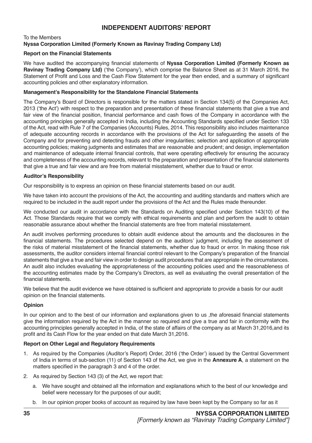### **INDEPENDENT AUDITORS' REPORT**

### To the Members **Nyssa Corporation Limited (Formerly Known as Ravinay Trading Company Ltd)**

### **Report on the Financial Statements**

We have audited the accompanying financial statements of **Nyssa Corporation Limited (Formerly Known as Ravinay Trading Company Ltd)** ('the Company'), which comprise the Balance Sheet as at 31 March 2016, the Statement of Profit and Loss and the Cash Flow Statement for the year then ended, and a summary of significant accounting policies and other explanatory information.

### **Management's Responsibility for the Standalone Financial Statements**

The Company's Board of Directors is responsible for the matters stated in Section 134(5) of the Companies Act, 2013 ('the Act') with respect to the preparation and presentation of these financial statements that give a true and fair view of the financial position, financial performance and cash flows of the Company in accordance with the accounting principles generally accepted in India, including the Accounting Standards specified under Section 133 of the Act, read with Rule 7 of the Companies (Accounts) Rules, 2014. This responsibility also includes maintenance of adequate accounting records in accordance with the provisions of the Act for safeguarding the assets of the Company and for preventing and detecting frauds and other irregularities; selection and application of appropriate accounting policies; making judgments and estimates that are reasonable and prudent; and design, implementation and maintenance of adequate internal financial controls, that were operating effectively for ensuring the accuracy and completeness of the accounting records, relevant to the preparation and presentation of the financial statements that give a true and fair view and are free from material misstatement, whether due to fraud or error.

### **Auditor's Responsibility**

Our responsibility is to express an opinion on these financial statements based on our audit.

We have taken into account the provisions of the Act, the accounting and auditing standards and matters which are required to be included in the audit report under the provisions of the Act and the Rules made thereunder.

We conducted our audit in accordance with the Standards on Auditing specified under Section 143(10) of the Act. Those Standards require that we comply with ethical requirements and plan and perform the audit to obtain reasonable assurance about whether the financial statements are free from material misstatement.

An audit involves performing procedures to obtain audit evidence about the amounts and the disclosures in the financial statements. The procedures selected depend on the auditors' judgment, including the assessment of the risks of material misstatement of the financial statements, whether due to fraud or error. In making those risk assessments, the auditor considers internal financial control relevant to the Company's preparation of the financial statements that give a true and fair view in order to design audit procedures that are appropriate in the circumstances. An audit also includes evaluating the appropriateness of the accounting policies used and the reasonableness of the accounting estimates made by the Company's Directors, as well as evaluating the overall presentation of the financial statements.

We believe that the audit evidence we have obtained is sufficient and appropriate to provide a basis for our audit opinion on the financial statements.

### **Opinion**

In our opinion and to the best of our information and explanations given to us ,the aforesaid financial statements give the information required by the Act in the manner so required and give a true and fair in conformity with the accounting principles generally accepted in India, of the state of affairs of the company as at March 31,2016,and its profit and its Cash Flow for the year ended on that date March 31,2016.

### **Report on Other Legal and Regulatory Requirements**

- 1. As required by the Companies (Auditor's Report) Order, 2016 ('the Order') issued by the Central Government of India in terms of sub-section (11) of Section 143 of the Act, we give in the **Annexure A**, a statement on the matters specified in the paragraph 3 and 4 of the order.
- 2. As required by Section 143 (3) of the Act, we report that:
	- a. We have sought and obtained all the information and explanations which to the best of our knowledge and belief were necessary for the purposes of our audit;
	- b. In our opinion proper books of account as required by law have been kept by the Company so far as it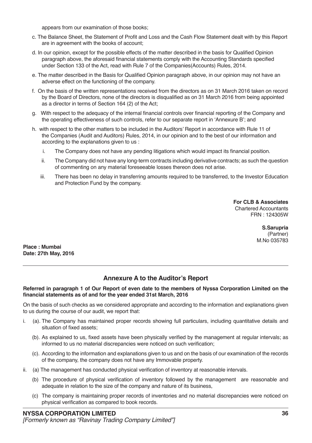appears from our examination of those books;

- c. The Balance Sheet, the Statement of Profit and Loss and the Cash Flow Statement dealt with by this Report are in agreement with the books of account;
- d. In our opinion, except for the possible effects of the matter described in the basis for Qualified Opinion paragraph above, the aforesaid financial statements comply with the Accounting Standards specified under Section 133 of the Act, read with Rule 7 of the Companies(Accounts) Rules, 2014.
- e. The matter described in the Basis for Qualified Opinion paragraph above, in our opinion may not have an adverse effect on the functioning of the company.
- f. On the basis of the written representations received from the directors as on 31 March 2016 taken on record by the Board of Directors, none of the directors is disqualified as on 31 March 2016 from being appointed as a director in terms of Section 164 (2) of the Act;
- g. With respect to the adequacy of the internal financial controls over financial reporting of the Company and the operating effectiveness of such controls, refer to our separate report in 'Annexure B'; and
- h. with respect to the other matters to be included in the Auditors' Report in accordance with Rule 11 of the Companies (Audit and Auditors) Rules, 2014, in our opinion and to the best of our information and according to the explanations given to us :
	- i. The Company does not have any pending litigations which would impact its financial position.
	- ii. The Company did not have any long-term contracts including derivative contracts; as such the question of commenting on any material foreseeable losses thereon does not arise.
	- iii. There has been no delay in transferring amounts required to be transferred, to the Investor Education and Protection Fund by the company.

**For CLB & Associates** Chartered Accountants FRN : 124305W

> **S.Sarupria** (Partner) M.No 035783

**Place : Mumbai Date: 27th May, 2016**

### **Annexure A to the Auditor's Report**

### **Referred in paragraph 1 of Our Report of even date to the members of Nyssa Corporation Limited on the financial statements as of and for the year ended 31st March, 2016**

On the basis of such checks as we considered appropriate and according to the information and explanations given to us during the course of our audit, we report that:

- i. (a). The Company has maintained proper records showing full particulars, including quantitative details and situation of fixed assets;
	- (b). As explained to us, fixed assets have been physically verified by the management at regular intervals; as informed to us no material discrepancies were noticed on such verification;
	- (c). According to the information and explanations given to us and on the basis of our examination of the records of the company, the company does not have any Immovable property.
- ii. (a) The management has conducted physical verification of inventory at reasonable intervals.
	- (b) The procedure of physical verification of inventory followed by the management are reasonable and adequate in relation to the size of the company and nature of its business,
	- (c) The company is maintaining proper records of inventories and no material discrepancies were noticed on physical verification as compared to book records.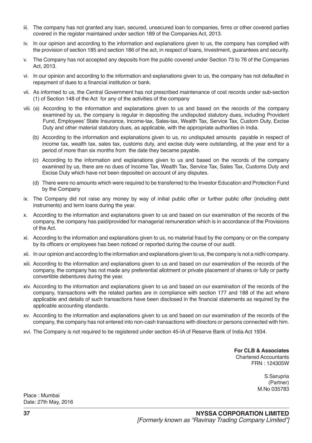- iii. The company has not granted any loan, secured, unsecured loan to companies, firms or other covered parties covered in the register maintained under section 189 of the Companies Act, 2013.
- iv. In our opinion and according to the information and explanations given to us, the company has complied with the provision of section 185 and section 186 of the act, in respect of loans, Investment, guarantees and security.
- v. The Company has not accepted any deposits from the public covered under Section 73 to 76 of the Companies Act, 2013.
- vi. In our opinion and according to the information and explanations given to us, the company has not defaulted in repayment of dues to a financial institution or bank.
- vii. As informed to us, the Central Government has not prescribed maintenance of cost records under sub-section (1) of Section 148 of the Act for any of the activities of the company
- viii. (a) According to the information and explanations given to us and based on the records of the company examined by us, the company is regular in depositing the undisputed statutory dues, including Provident Fund, Employees' State Insurance, Income-tax, Sales-tax, Wealth Tax, Service Tax, Custom Duty, Excise Duty and other material statutory dues, as applicable, with the appropriate authorities in India.
	- (b) According to the information and explanations given to us, no undisputed amounts payable in respect of income tax, wealth tax, sales tax, customs duty, and excise duty were outstanding, at the year end for a period of more than six months from the date they became payable.
	- (c) According to the information and explanations given to us and based on the records of the company examined by us, there are no dues of Income Tax, Wealth Tax, Service Tax, Sales Tax, Customs Duty and Excise Duty which have not been deposited on account of any disputes.
	- (d) There were no amounts which were required to be transferred to the Investor Education and Protection Fund by the Company
- ix. The Company did not raise any money by way of initial public offer or further public offer (including debt instruments) and term loans during the year.
- x. According to the information and explanations given to us and based on our examination of the records of the company, the company has paid/provided for managerial remuneration which is in accordance of the Provisions of the Act.
- xi. According to the information and explanations given to us, no material fraud by the company or on the company by its officers or employees has been noticed or reported during the course of our audit.
- xii. In our opinion and according to the information and explanations given to us, the company is not a nidhi company.
- xiii. According to the information and explanations given to us and based on our examination of the records of the company, the company has not made any preferential allotment or private placement of shares or fully or partly convertible debentures during the year.
- xiv. According to the information and explanations given to us and based on our examination of the records of the company, transactions with the related parties are in compliance with section 177 and 188 of the act where applicable and details of such transactions have been disclosed in the financial statements as required by the applicable accounting standards.
- xv. According to the information and explanations given to us and based on our examination of the records of the company, the company has not entered into non-cash transactions with directors or persons connected with him.
- xvi. The Company is not required to be registered under section 45-IA of Reserve Bank of India Act 1934.

**For CLB & Associates** Chartered Accountants FRN : 124305W

> S.Sarupria (Partner) M.No 035783

Place : Mumbai Date: 27th May, 2016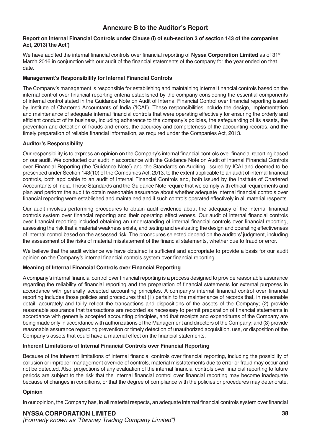### **Annexure B to the Auditor's Report**

### **Report on Internal Financial Controls under Clause (i) of sub-section 3 of section 143 of the companies Act, 2013('the Act')**

We have audited the internal financial controls over financial reporting of Nyssa Corporation Limited as of 31<sup>st</sup> March 2016 in conjunction with our audit of the financial statements of the company for the year ended on that date.

### **Management's Responsibility for Internal Financial Controls**

The Company's management is responsible for establishing and maintaining internal financial controls based on the internal control over financial reporting criteria established by the company considering the essential components of internal control stated in the Guidance Note on Audit of Internal Financial Control over financial reporting issued by Institute of Chartered Accountants of India ('ICAI'). These responsibilities include the design, implementation and maintenance of adequate internal financial controls that were operating effectively for ensuring the orderly and efficient conduct of its business, including adherence to the company's policies, the safeguarding of its assets, the prevention and detection of frauds and errors, the accuracy and completeness of the accounting records, and the timely preparation of reliable financial information, as required under the Companies Act, 2013.

### **Auditor's Responsibility**

Our responsibility is to express an opinion on the Company's internal financial controls over financial reporting based on our audit. We conducted our audit in accordance with the Guidance Note on Audit of Internal Financial Controls over Financial Reporting (the 'Guidance Note') and the Standards on Auditing, issued by ICAI and deemed to be prescribed under Section 143(10) of the Companies Act, 2013, to the extent applicable to an audit of internal financial controls, both applicable to an audit of Internal Financial Controls and, both issued by the Institute of Chartered Accountants of India. Those Standards and the Guidance Note require that we comply with ethical requirements and plan and perform the audit to obtain reasonable assurance about whether adequate internal financial controls over financial reporting were established and maintained and if such controls operated effectively in all material respects.

Our audit involves performing procedures to obtain audit evidence about the adequacy of the internal financial controls system over financial reporting and their operating effectiveness. Our audit of internal financial controls over financial reporting included obtaining an understanding of internal financial controls over financial reporting, assessing the risk that a material weakness exists, and testing and evaluating the design and operating effectiveness of internal control based on the assessed risk. The procedures selected depend on the auditors' judgment, including the assessment of the risks of material misstatement of the financial statements, whether due to fraud or error.

We believe that the audit evidence we have obtained is sufficient and appropriate to provide a basis for our audit opinion on the Company's internal financial controls system over financial reporting.

### **Meaning of Internal Financial Controls over Financial Reporting**

A company's internal financial control over financial reporting is a process designed to provide reasonable assurance regarding the reliability of financial reporting and the preparation of financial statements for external purposes in accordance with generally accepted accounting principles. A company's internal financial control over financial reporting includes those policies and procedures that (1) pertain to the maintenance of records that, in reasonable detail, accurately and fairly reflect the transactions and dispositions of the assets of the Company; (2) provide reasonable assurance that transactions are recorded as necessary to permit preparation of financial statements in accordance with generally accepted accounting principles, and that receipts and expenditures of the Company are being made only in accordance with authorizations of the Management and directors of the Company; and (3) provide reasonable assurance regarding prevention or timely detection of unauthorized acquisition, use, or disposition of the Company's assets that could have a material effect on the financial statements.

### **Inherent Limitations of Internal Financial Controls over Financial Reporting**

Because of the inherent limitations of internal financial controls over financial reporting, including the possibility of collusion or improper management override of controls, material misstatements due to error or fraud may occur and not be detected. Also, projections of any evaluation of the internal financial controls over financial reporting to future periods are subject to the risk that the internal financial control over financial reporting may become inadequate because of changes in conditions, or that the degree of compliance with the policies or procedures may deteriorate.

### **Opinion**

In our opinion, the Company has, in all material respects, an adequate internal financial controls system over financial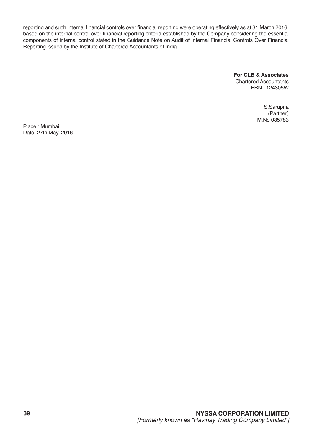reporting and such internal financial controls over financial reporting were operating effectively as at 31 March 2016, based on the internal control over financial reporting criteria established by the Company considering the essential components of internal control stated in the Guidance Note on Audit of Internal Financial Controls Over Financial Reporting issued by the Institute of Chartered Accountants of India.

**For CLB & Associates**

Chartered Accountants FRN : 124305W

> S.Sarupria (Partner) M.No 035783

Place : Mumbai Date: 27th May, 2016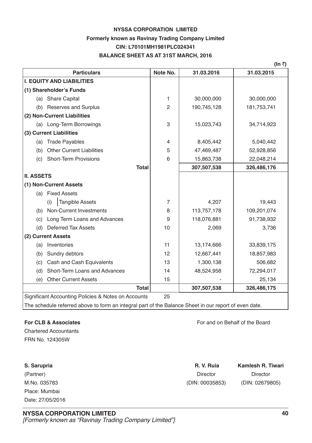### **NYSSA CORPORATION LIMITED Formerly known as Ravinay Trading Company Limited CIN: L70101MH1981PLC024341 BALANCE SHEET AS AT 31ST MARCH, 2016**

|                   |                                                     |                |             | (In ₹)      |
|-------------------|-----------------------------------------------------|----------------|-------------|-------------|
|                   | <b>Particulars</b>                                  | Note No.       | 31.03.2016  | 31.03.2015  |
|                   | <b>I. EQUITY AND LIABILITIES</b>                    |                |             |             |
|                   | (1) Shareholder's Funds                             |                |             |             |
|                   | (a) Share Capital                                   | 1              | 30,000,000  | 30,000,000  |
| (b)               | <b>Reserves and Surplus</b>                         | $\overline{2}$ | 190,745,128 | 181,753,741 |
|                   | (2) Non-Current Liabilities                         |                |             |             |
|                   | (a) Long-Term Borrowings                            | 3              | 15,023,743  | 34,714,923  |
|                   | (3) Current Liabilities                             |                |             |             |
| (a)               | <b>Trade Payables</b>                               | 4              | 8,405,442   | 5,040,442   |
| (b)               | <b>Other Current Liabilities</b>                    | 5              | 47,469,487  | 52,928,856  |
| (c)               | <b>Short-Term Provisions</b>                        | 6              | 15,863,738  | 22,048,214  |
|                   | <b>Total</b>                                        |                | 307,507,538 | 326,486,176 |
| <b>II. ASSETS</b> |                                                     |                |             |             |
|                   | (1) Non-Current Assets                              |                |             |             |
|                   | (a) Fixed Assets                                    |                |             |             |
|                   | <b>Tangible Assets</b><br>(i)                       | 7              | 4,207       | 19,443      |
| (b)               | Non-Current Investments                             | 8              | 113,757,178 | 109,201,074 |
| (c)               | Long Term Loans and Advances                        | 9              | 118,076,881 | 91,738,932  |
| (d)               | <b>Deferred Tax Assets</b>                          | 10             | 2,069       | 3,736       |
|                   | (2) Current Assets                                  |                |             |             |
| (a)               | Inventories                                         | 11             | 13,174,666  | 33,839,175  |
| (b)               | Sundry debtors                                      | 12             | 12,667,441  | 18,857,983  |
| (c)               | Cash and Cash Equivalents                           | 13             | 1,300,138   | 506,682     |
| (d)               | Short-Term Loans and Advances                       | 14             | 48,524,958  | 72,294,017  |
| (e)               | <b>Other Current Assets</b>                         | 15             |             | 25,134      |
|                   | <b>Total</b>                                        |                | 307,507,538 | 326,486,175 |
|                   | Significant Accounting Policies & Notes on Accounts | 25             |             |             |
|                   |                                                     |                |             |             |

The schedule referred above to form an integral part of the Balance Sheet in our report of even date.

Chartered Accountants FRN No. 124305W

Place: Mumbai Date: 27/05/2016

**For CLB & Associates** For and on Behalf of the Board

| S. Sarupria  | R. V. Ruia      | Kamlesh R. Tiwari |
|--------------|-----------------|-------------------|
| (Partner)    | Director        | Director          |
| M.No. 035783 | (DIN: 00035853) | (DIN: 02679805)   |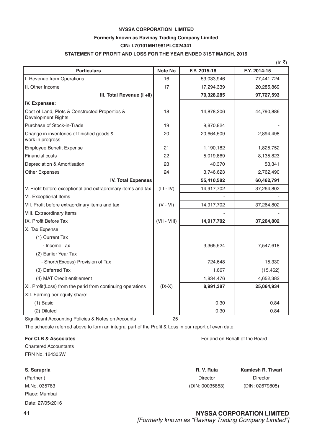### **NYSSA CORPORATION LIMITED Formerly known as Ravinay Trading Company Limited CIN: L70101MH1981PLC024341**

### **STATEMENT OF PROFIT AND LOSS FOR THE YEAR ENDED 31ST MARCH, 2016**

|                                                                      |                |              | (In ₹)       |
|----------------------------------------------------------------------|----------------|--------------|--------------|
| <b>Particulars</b>                                                   | Note No        | F.Y. 2015-16 | F.Y. 2014-15 |
| I. Revenue from Operations                                           | 16             | 53,033,946   | 77,441,724   |
| II. Other Income                                                     | 17             | 17,294,339   | 20,285,869   |
| III. Total Revenue (I +II)                                           |                | 70,328,285   | 97,727,593   |
| IV. Expenses:                                                        |                |              |              |
| Cost of Land, Plots & Constructed Properties &<br>Development Rights | 18             | 14,878,206   | 44,790,886   |
| Purchase of Stock-in-Trade                                           | 19             | 9,870,824    |              |
| Change in inventories of finished goods &<br>work in progress        | 20             | 20,664,509   | 2,894,498    |
| <b>Employee Benefit Expense</b>                                      | 21             | 1,190,182    | 1,825,752    |
| <b>Financial costs</b>                                               | 22             | 5,019,869    | 8,135,823    |
| Depreciation & Amortisation                                          | 23             | 40,370       | 53,341       |
| <b>Other Expenses</b>                                                | 24             | 3,746,623    | 2,762,490    |
| <b>IV. Total Expenses</b>                                            |                | 55,410,582   | 60,462,791   |
| V. Profit before exceptional and extraordinary items and tax         | $(III - IV)$   | 14,917,702   | 37,264,802   |
| VI. Exceptional Items                                                |                |              |              |
| VII. Profit before extraordinary items and tax                       | $(V - VI)$     | 14,917,702   | 37,264,802   |
| VIII. Extraordinary Items                                            |                |              |              |
| IX. Profit Before Tax                                                | $(VII - VIII)$ | 14,917,702   | 37,264,802   |
| X. Tax Expense:                                                      |                |              |              |
| (1) Current Tax                                                      |                |              |              |
| - Income Tax                                                         |                | 3,365,524    | 7,547,618    |
| (2) Earlier Year Tax                                                 |                |              |              |
| - Short/(Excess) Provision of Tax                                    |                | 724,648      | 15,330       |
| (3) Deferred Tax                                                     |                | 1,667        | (15, 462)    |
| (4) MAT Credit entitlement                                           |                | 1,834,476    | 4,652,382    |
| XI. Profit(Loss) from the perid from continuing operations           | $(IX-X)$       | 8,991,387    | 25,064,934   |
| XII. Earning per equity share:                                       |                |              |              |
| $(1)$ Basic                                                          |                | 0.30         | 0.84         |
| (2) Diluted                                                          |                | 0.30         | 0.84         |

Significant Accounting Policies & Notes on Accounts 25

The schedule referred above to form an integral part of the Profit & Loss in our report of even date.

### **For CLB & Associates** For and on Behalf of the Board

Chartered Accountants FRN No. 124305W

| S. Sarupria      | R. V. Ruia      | Kamlesh R. Tiwari |
|------------------|-----------------|-------------------|
| (Partner)        | <b>Director</b> | <b>Director</b>   |
| M.No. 035783     | (DIN: 00035853) | (DIN: 02679805)   |
| Place: Mumbai    |                 |                   |
| Date: 27/05/2016 |                 |                   |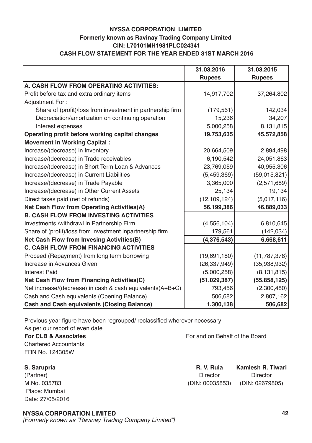### **NYSSA CORPORATION LIMITED Formerly known as Ravinay Trading Company Limited CIN: L70101MH1981PLC024341 CASH FLOW STATEMENT FOR THE YEAR ENDED 31ST MARCH 2016**

|                                                            | 31.03.2016     | 31.03.2015     |
|------------------------------------------------------------|----------------|----------------|
|                                                            | <b>Rupees</b>  | <b>Rupees</b>  |
| A. CASH FLOW FROM OPERATING ACTIVITIES:                    |                |                |
| Profit before tax and extra ordinary items                 | 14,917,702     | 37,264,802     |
| <b>Adjustment For:</b>                                     |                |                |
| Share of (profit)/loss from investment in partnership firm | (179, 561)     | 142,034        |
| Depreciation/amortization on continuing operation          | 15,236         | 34,207         |
| Interest expenses                                          | 5,000,258      | 8,131,815      |
| Operating profit before working capital changes            | 19,753,635     | 45,572,858     |
| <b>Movement in Working Capital:</b>                        |                |                |
| Increase/(decrease) in Inventory                           | 20,664,509     | 2,894,498      |
| Increase/(decrease) in Trade receivables                   | 6,190,542      | 24,051,863     |
| Increase/(decrease) in Short Term Loan & Advances          | 23,769,059     | 40,955,306     |
| Increase/(decrease) in Current Liabilities                 | (5,459,369)    | (59,015,821)   |
| Increase/(decrease) in Trade Payable                       | 3,365,000      | (2,571,689)    |
| Increase/(decrease) in Other Current Assets                | 25,134         | 19,134         |
| Direct taxes paid (net of refunds)                         | (12, 109, 124) | (5,017,116)    |
| <b>Net Cash Flow from Operating Activities(A)</b>          | 56,199,386     | 46,889,033     |
| <b>B. CASH FLOW FROM INVESTING ACTIVITIES</b>              |                |                |
| Investments /withdrawl in Partnership Firm                 | (4, 556, 104)  | 6,810,645      |
| Share of (profit)/loss from investment inpartnership firm  | 179,561        | (142, 034)     |
| <b>Net Cash Flow from Invesing Activities(B)</b>           | (4,376,543)    | 6,668,611      |
| <b>C. CASH FLOW FROM FINANCING ACTIVITIES</b>              |                |                |
| Proceed (Repayment) from long term borrowing               | (19,691,180)   | (11, 787, 378) |
| Increase in Advances Given                                 | (26, 337, 949) | (35,938,932)   |
| <b>Interest Paid</b>                                       | (5,000,258)    | (8, 131, 815)  |
| <b>Net Cash Flow from Financing Activities(C)</b>          | (51,029,387)   | (55, 858, 125) |
| Net increase/(decrease) in cash & cash equivalents(A+B+C)  | 793,456        | (2,300,480)    |
| Cash and Cash equivalents (Opening Balance)                | 506,682        | 2,807,162      |
| <b>Cash and Cash equivalents (Closing Balance)</b>         | 1,300,138      | 506,682        |

Previous year figure have been regrouped/ reclassified wherever necessary As per our report of even date

## Chartered Accountants FRN No. 124305W

 Place: Mumbai Date: 27/05/2016

**For CLB & Associates** For and on Behalf of the Board

**S. Sarupria R. V. Ruia Kamlesh R. Tiwari** (Partner) Director Director Director Director Director Director M.No. 035783 (DIN: 00035853) (DIN: 02679805)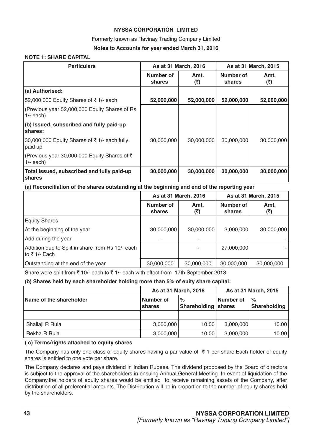### **NYSSA CORPORATION LIMITED**

### Formerly known as Ravinay Trading Company Limited

### **Notes to Accounts for year ended March 31, 2016**

### **NOTE 1: SHARE CAPITAL**

| <b>Particulars</b>                                                    | As at 31 March, 2016 |             | As at 31 March, 2015 |             |
|-----------------------------------------------------------------------|----------------------|-------------|----------------------|-------------|
|                                                                       | Number of<br>shares  | Amt.<br>(₹) | Number of<br>shares  | Amt.<br>(₹) |
| (a) Authorised:                                                       |                      |             |                      |             |
| 52,000,000 Equity Shares of ₹1/- each                                 | 52,000,000           | 52,000,000  | 52,000,000           | 52,000,000  |
| (Previous year 52,000,000 Equity Shares of Rs<br>$1/-$ each)          |                      |             |                      |             |
| (b) Issued, subscribed and fully paid-up<br>shares:                   |                      |             |                      |             |
| 30,000,000 Equity Shares of $\bar{z}$ 1/- each fully<br>paid up       | 30,000,000           | 30,000,000  | 30,000,000           | 30,000,000  |
| (Previous year 30,000,000 Equity Shares of $\bar{z}$ )<br>$1/-$ each) |                      |             |                      |             |
| Total Issued, subscribed and fully paid-up<br>shares                  | 30,000,000           | 30,000,000  | 30,000,000           | 30,000,000  |

### **(a) Reconciliation of the shares outstanding at the beginning and end of the reporting year**

|                                                                    |                     | As at 31 March, 2016 | As at 31 March, 2015 |             |
|--------------------------------------------------------------------|---------------------|----------------------|----------------------|-------------|
|                                                                    | Number of<br>shares | Amt.<br>(₹)          | Number of<br>shares  | Amt.<br>(₹) |
| <b>Equity Shares</b>                                               |                     |                      |                      |             |
| At the beginning of the year                                       | 30,000,000          | 30,000,000           | 3,000,000            | 30,000,000  |
| Add during the year                                                | ٠                   |                      |                      |             |
| Addition due to Split in share from Rs 10/- each<br>Ito ₹ 1/- Each |                     |                      | 27,000,000           |             |
| Outstanding at the end of the year                                 | 30,000,000          | 30,000,000           | 30,000,000           | 30,000,000  |

Share were spilt from  $\bar{\tau}$  10/- each to  $\bar{\tau}$  1/- each with effect from 17th September 2013.

### **(b) Shares held by each shareholder holding more than 5% of euity share capital:**

|                         |                     | As at 31 March, 2016               | As at 31 March, 2015 |                      |
|-------------------------|---------------------|------------------------------------|----------------------|----------------------|
| Name of the shareholder | Number of<br>shares | $\%$<br><b>Shareholding shares</b> | Number of            | $\%$<br>Shareholding |
|                         |                     |                                    |                      |                      |
| Shailaji R Ruia         | 3,000,000           | 10.00                              | 3,000,000            | 10.00                |
| Rekha R Ruia            | 3,000,000           | 10.00                              | 3,000,000            | 10.00                |

### **( c) Terms/rights attached to equity shares**

The Company has only one class of equity shares having a par value of  $\bar{\tau}$  1 per share.Each holder of equity shares is entitled to one vote per share.

The Company declares and pays dividend in Indian Rupees. The dividend proposed by the Board of directors is subject to the approval of the shareholders in ensuing Annual General Meeting. In event of liquidation of the Company,the holders of equity shares would be entitled to receive remaining assets of the Company, after distribution of all preferential amounts. The Distribution will be in proportion to the number of equity shares held by the shareholders.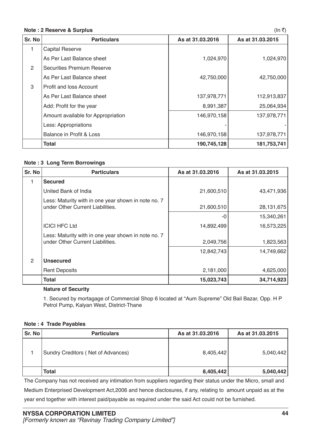### **Note : 2 Reserve & Surplus** (In ₹)

|                |                                    |                  | $\cdots$         |
|----------------|------------------------------------|------------------|------------------|
| Sr. No         | <b>Particulars</b>                 | As at 31.03.2016 | As at 31.03.2015 |
| 1              | <b>Capital Reserve</b>             |                  |                  |
|                | As Per Last Balance sheet          | 1,024,970        | 1,024,970        |
| $\overline{2}$ | Securities Premium Reserve         |                  |                  |
|                | As Per Last Balance sheet          | 42,750,000       | 42,750,000       |
| 3              | Profit and loss Account            |                  |                  |
|                | As Per Last Balance sheet          | 137,978,771      | 112,913,837      |
|                | Add: Profit for the year           | 8,991,387        | 25,064,934       |
|                | Amount available for Appropriation | 146,970,158      | 137,978,771      |
|                | Less: Appropriations               |                  |                  |
|                | Balance in Profit & Loss           | 146,970,158      | 137,978,771      |
|                | <b>Total</b>                       | 190,745,128      | 181,753,741      |

### **Note : 3 Long Term Borrowings**

| Sr. No | <b>Particulars</b>                                                                      | As at 31.03.2016 | As at 31.03.2015 |
|--------|-----------------------------------------------------------------------------------------|------------------|------------------|
| 1      | <b>Secured</b>                                                                          |                  |                  |
|        | United Bank of India                                                                    | 21,600,510       | 43,471,936       |
|        | Less: Maturity with in one year shown in note no. 7<br>under Other Current Liabilities. | 21,600,510       | 28,131,675       |
|        |                                                                                         | -0               | 15,340,261       |
|        | <b>ICICI HFC Ltd</b>                                                                    | 14,892,499       | 16,573,225       |
|        | Less: Maturity with in one year shown in note no. 7<br>under Other Current Liabilities. | 2,049,756        | 1,823,563        |
|        |                                                                                         | 12,842,743       | 14,749,662       |
| 2      | <b>Unsecured</b>                                                                        |                  |                  |
|        | <b>Rent Deposits</b>                                                                    | 2,181,000        | 4,625,000        |
|        | Total                                                                                   | 15,023,743       | 34,714,923       |

### **Nature of Security**

1. Secured by mortagage of Commercial Shop 6 located at "Aum Supreme" Old Bail Bazar, Opp. H P Petrol Pump, Kalyan West, District-Thane

### **Note : 4 Trade Payables**

| Sr. No | <b>Particulars</b>                 | As at 31,03,2016 | As at 31,03,2015 |
|--------|------------------------------------|------------------|------------------|
|        | Sundry Creditors (Net of Advances) | 8,405,442        | 5,040,442        |
|        | Total                              | 8,405,442        | 5,040,442        |

The Company has not received any intimation from suppliers regarding their status under the Micro, small and Medium Enterprised Development Act,2006 and hence disclosures, if any, relating to amount unpaid as at the year end together with interest paid/payable as required under the said Act could not be furnished.

**44**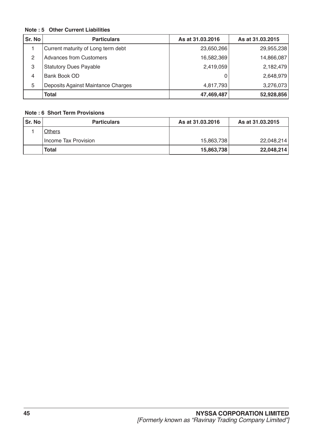### **Note : 5 Other Current Liabilities**

| Sr. No | <b>Particulars</b>                 | As at 31.03.2016 | As at 31.03.2015 |
|--------|------------------------------------|------------------|------------------|
|        | Current maturity of Long term debt | 23,650,266       | 29,955,238       |
| 2      | <b>Advances from Customers</b>     | 16,582,369       | 14,866,087       |
| 3      | <b>Statutory Dues Payable</b>      | 2,419,059        | 2,182,479        |
| 4      | <b>Bank Book OD</b>                | O                | 2,648,979        |
| 5      | Deposits Against Maintance Charges | 4,817,793        | 3,276,073        |
|        | <b>Total</b>                       | 47,469,487       | 52,928,856       |

### **Note : 6 Short Term Provisions**

| Sr. No | <b>Particulars</b>   | As at 31.03.2016 | As at 31,03,2015 |
|--------|----------------------|------------------|------------------|
|        | <b>Others</b>        |                  |                  |
|        | Income Tax Provision | 15,863,738       | 22.048.214       |
|        | Total                | 15,863,738       | 22,048,214       |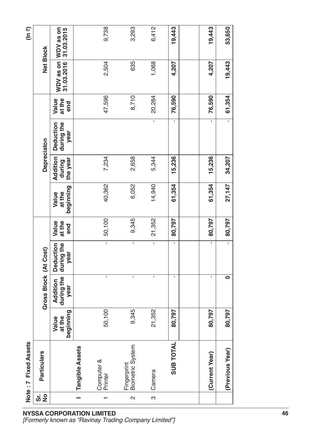|          | <b>Fixed Assets</b><br>Note:7          |                              |                                |                                        |                        |                              |                                |                                 |                        |        | (ln 7)                                       |
|----------|----------------------------------------|------------------------------|--------------------------------|----------------------------------------|------------------------|------------------------------|--------------------------------|---------------------------------|------------------------|--------|----------------------------------------------|
| ທີ່ 2    | <b>Particulars</b>                     |                              | Gross Block (At Cost)          |                                        |                        |                              | <b>Depreciaton</b>             |                                 |                        |        | <b>Net Block</b>                             |
|          |                                        | beginning<br>Value<br>at the | during the<br>Addition<br>year | during the<br><b>Deduction</b><br>year | at the<br>Value<br>end | beginning<br>Value<br>at the | Addition<br>the year<br>during | during the<br>Deduction<br>year | at the<br>Value<br>end |        | WDV as on WDV as on<br>31.03.2016 31.03.2015 |
|          | <b>Tangible Assets</b>                 |                              |                                |                                        |                        |                              |                                |                                 |                        |        |                                              |
|          | Computer &<br>Printer                  | 50,100                       | I.                             | $\mathbf{r}$                           | 50,100                 | 40,362                       | 7,234                          |                                 | 47,596                 | 2,504  | 9,738                                        |
| $\sim$   | <b>Biometric System</b><br>Fingerprint | 9,345                        | ı                              | $\blacksquare$                         | 9,345                  | 6,052                        | 2,658                          |                                 | 8,710                  | 635    | 3,293                                        |
| <u>က</u> | Camera                                 | 21,352                       | I,                             | $\mathbf{r}$                           | 21,352                 | 14,940                       | 5,344                          | $\mathbf{r}$                    | 20,284                 | 1,068  | 6,412                                        |
|          | <b>SUB TOTAL</b>                       | 80,797                       |                                | J.                                     | 80,797                 | 61,354                       | 15,236                         | I.                              | 76,590                 | 4,207  | 19,443                                       |
|          |                                        |                              |                                |                                        |                        |                              |                                |                                 |                        |        |                                              |
|          | (Current Year)                         | 80,797                       | ı.                             | I.                                     | 80,797                 | 61,354                       | 15,236                         | ×.                              | 76,590                 | 4,207  | 19,443                                       |
|          | (Previous Year)                        | 80,797                       | 0                              | $\mathbf{I}$                           | 80,797                 | 27,147                       | 34,207                         | $\blacksquare$                  | 61,354                 | 19,443 | 53,650                                       |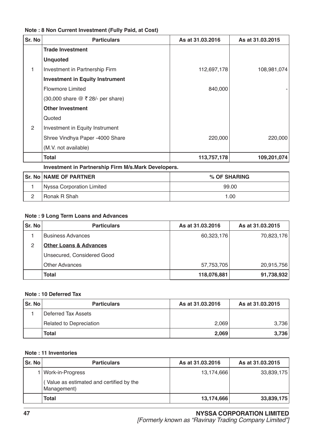| Sr. No        | <b>Particulars</b>                                  | As at 31.03.2016 | As at 31.03.2015 |
|---------------|-----------------------------------------------------|------------------|------------------|
|               | <b>Trade Investment</b>                             |                  |                  |
|               | <b>Unquoted</b>                                     |                  |                  |
|               | Investment in Partnership Firm                      | 112,697,178      | 108,981,074      |
|               | <b>Investment in Equity Instrument</b>              |                  |                  |
|               | <b>Flowmore Limited</b>                             | 840,000          |                  |
|               | (30,000 share @ ₹ 28/- per share)                   |                  |                  |
|               | <b>Other Investment</b>                             |                  |                  |
|               | Quoted                                              |                  |                  |
| $\mathcal{P}$ | Investment in Equity Instrument                     |                  |                  |
|               | Shree Vindhya Paper -4000 Share                     | 220,000          | 220,000          |
|               | (M.V. not available)                                |                  |                  |
|               | Total                                               | 113,757,178      | 109,201,074      |
|               | Investment in Partnership Firm M/s.Mark Developers. |                  |                  |

### **Note : 8 Non Current Investment (Fully Paid, at Cost)**

**Sr. No NAME OF PARTNER % OF SHARING** 1 Nyssa Corporation Limited 99.00

2 Ronak R Shah 1.00

### **Note : 9 Long Term Loans and Advances**

| Sr. No | <b>Particulars</b>                | As at 31.03.2016 | As at 31.03.2015 |
|--------|-----------------------------------|------------------|------------------|
|        | <b>Business Advances</b>          | 60,323,176       | 70,823,176       |
| 2      | <b>Other Loans &amp; Advances</b> |                  |                  |
|        | Unsecured, Considered Good        |                  |                  |
|        | <b>Other Advances</b>             | 57,753,705       | 20,915,756       |
|        | Total                             | 118,076,881      | 91,738,932       |

### **Note : 10 Deferred Tax**

| Sr. No | <b>Particulars</b>      | As at 31,03,2016 | As at 31.03.2015 |
|--------|-------------------------|------------------|------------------|
|        | l Deferred Tax Assets   |                  |                  |
|        | Related to Depreciation | 2,069            | 3,736            |
|        | Total                   | 2,069            | 3,736            |

### **Note : 11 Inventories**

| Sr. No | <b>Particulars</b>                                     | As at 31.03.2016 | As at 31.03.2015 |
|--------|--------------------------------------------------------|------------------|------------------|
|        | I   Work-in-Progress                                   | 13,174,666       | 33,839,175       |
|        | Value as estimated and certified by the<br>Management) |                  |                  |
|        | Total                                                  | 13,174,666       | 33,839,175       |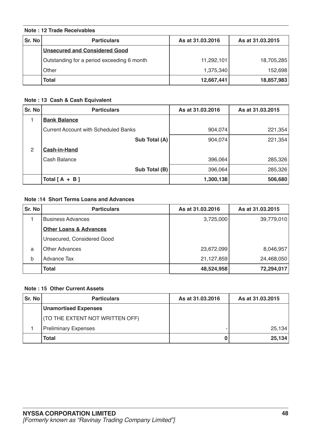### **Note : 12 Trade Receivables**

| Sr. No | <b>Particulars</b>                         | As at 31.03.2016 | As at 31,03,2015 |
|--------|--------------------------------------------|------------------|------------------|
|        | Unsecured and Considered Good              |                  |                  |
|        | Outstanding for a period exceeding 6 month | 11,292,101       | 18,705,285       |
|        | , Other                                    | 1,375,340        | 152,698          |
|        | Total                                      | 12,667,441       | 18,857,983       |

### **Note : 13 Cash & Cash Equivalent**

| Sr. No | <b>Particulars</b>                          | As at 31.03.2016 | As at 31.03.2015 |
|--------|---------------------------------------------|------------------|------------------|
|        | <b>Bank Balance</b>                         |                  |                  |
|        | <b>Current Account with Scheduled Banks</b> | 904,074          | 221,354          |
|        | Sub Total (A)                               | 904,074          | 221,354          |
| 2      | Cash-in-Hand                                |                  |                  |
|        | Cash Balance                                | 396,064          | 285,326          |
|        | Sub Total (B)                               | 396,064          | 285,326          |
|        | Total $[A + B]$                             | 1,300,138        | 506,680          |

### **Note :14 Short Terms Loans and Advances**

| Sr. No | <b>Particulars</b>                | As at 31.03.2016 | As at 31,03,2015 |
|--------|-----------------------------------|------------------|------------------|
|        | <b>Business Advances</b>          | 3,725,000        | 39,779,010       |
|        | <b>Other Loans &amp; Advances</b> |                  |                  |
|        | Unsecured, Considered Good        |                  |                  |
| a      | <b>Other Advances</b>             | 23,672,099       | 8,046,957        |
| b      | Advance Tax                       | 21,127,859       | 24,468,050       |
|        | <b>Total</b>                      | 48,524,958       | 72,294,017       |

### **Note : 15 Other Current Assets**

| Sr. No | <b>Particulars</b>              | As at 31.03.2016 | As at 31,03,2015 |
|--------|---------------------------------|------------------|------------------|
|        | <b>Unamortised Expenses</b>     |                  |                  |
|        | (TO THE EXTENT NOT WRITTEN OFF) |                  |                  |
|        | <b>Preliminary Expenses</b>     |                  | 25,134           |
|        | Total                           |                  | 25,134           |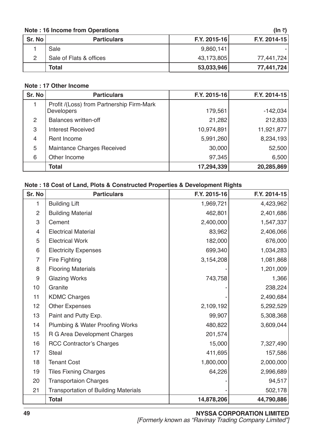### **Note : 16 Income from Operations (In ₹)** (In ₹)

|        |                         |                | , .          |
|--------|-------------------------|----------------|--------------|
| Sr. No | <b>Particulars</b>      | $F.Y. 2015-16$ | F.Y. 2014-15 |
|        | Sale                    | 9,860,141      |              |
|        | Sale of Flats & offices | 43,173,805     | 77,441,724   |
|        | Total                   | 53,033,946     | 77,441,724   |

### **Note : 17 Other Income**

| Sr. No         | <b>Particulars</b>                                      | F.Y. 2015-16 | F.Y. 2014-15 |
|----------------|---------------------------------------------------------|--------------|--------------|
|                | Profit /(Loss) from Partnership Firm-Mark<br>Developers | 179,561      | $-142,034$   |
| 2              | <b>Balances written-off</b>                             | 21,282       | 212,833      |
| 3              | <b>Interest Received</b>                                | 10,974,891   | 11,921,877   |
| $\overline{4}$ | Rent Income                                             | 5,991,260    | 8,234,193    |
| 5              | Maintance Charges Received                              | 30,000       | 52,500       |
| 6              | Other Income                                            | 97,345       | 6,500        |
|                | <b>Total</b>                                            | 17,294,339   | 20,285,869   |

### **Note : 18 Cost of Land, Plots & Constructed Properties & Development Rights**

| Sr. No           | <b>Particulars</b>                          | F.Y. 2015-16 | F.Y. 2014-15 |
|------------------|---------------------------------------------|--------------|--------------|
| 1                | <b>Building Lift</b>                        | 1,969,721    | 4,423,962    |
| $\overline{2}$   | <b>Building Material</b>                    | 462,801      | 2,401,686    |
| $\,3$            | Cement                                      | 2,400,000    | 1,547,337    |
| $\overline{4}$   | <b>Electrical Material</b>                  | 83,962       | 2,406,066    |
| 5                | <b>Electrical Work</b>                      | 182,000      | 676,000      |
| $6\phantom{1}6$  | <b>Electricity Expenses</b>                 | 699,340      | 1,034,283    |
| $\overline{7}$   | <b>Fire Fighting</b>                        | 3,154,208    | 1,081,868    |
| 8                | <b>Flooring Materials</b>                   |              | 1,201,009    |
| $\boldsymbol{9}$ | <b>Glazing Works</b>                        | 743,758      | 1,366        |
| 10               | Granite                                     |              | 238,224      |
| 11               | <b>KDMC Charges</b>                         |              | 2,490,684    |
| 12               | <b>Other Expenses</b>                       | 2,109,192    | 5,292,529    |
| 13               | Paint and Putty Exp.                        | 99,907       | 5,308,368    |
| 14               | <b>Plumbing &amp; Water Proofing Works</b>  | 480,822      | 3,609,044    |
| 15               | R G Area Development Charges                | 201,574      |              |
| 16               | <b>RCC Contractor's Charges</b>             | 15,000       | 7,327,490    |
| 17               | <b>Steal</b>                                | 411,695      | 157,586      |
| 18               | <b>Tenant Cost</b>                          | 1,800,000    | 2,000,000    |
| 19               | <b>Tiles Fixning Charges</b>                | 64,226       | 2,996,689    |
| 20               | <b>Transportaion Charges</b>                |              | 94,517       |
| 21               | <b>Transportation of Building Materials</b> |              | 502,178      |
|                  | <b>Total</b>                                | 14,878,206   | 44,790,886   |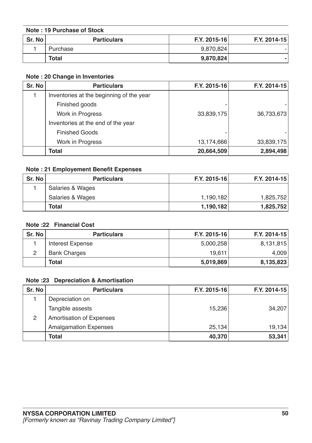| Note: 19 Purchase of Stock |                    |              |              |
|----------------------------|--------------------|--------------|--------------|
| <b>Sr. No</b>              | <b>Particulars</b> | F.Y. 2015-16 | F.Y. 2014-15 |
|                            | Purchase           | 9,870,824    |              |
|                            | <b>Total</b>       | 9,870,824    |              |

### **Note : 20 Change in Inventories**

| Sr. No | <b>Particulars</b>                       | F.Y. 2015-16 | F.Y. 2014-15 |
|--------|------------------------------------------|--------------|--------------|
|        | Inventories at the beginning of the year |              |              |
|        | Finished goods                           |              |              |
|        | Work in Progress                         | 33,839,175   | 36,733,673   |
|        | Inventories at the end of the year       |              |              |
|        | <b>Finished Goods</b>                    |              |              |
|        | Work in Progress                         | 13,174,666   | 33,839,175   |
|        | <b>Total</b>                             | 20,664,509   | 2,894,498    |

### **Note : 21 Employement Benefit Expenses**

| Sr. No | <b>Particulars</b> | F.Y. 2015-16 | F.Y. 2014-15 |
|--------|--------------------|--------------|--------------|
|        | Salaries & Wages   |              |              |
|        | Salaries & Wages   | 1,190,182    | 1,825,752    |
|        | <b>Total</b>       | 1,190,182    | 1,825,752    |

### **Note :22 Financial Cost**

| Sr. No | <b>Particulars</b>  | F.Y. 2015-16 | F.Y. 2014-15 |
|--------|---------------------|--------------|--------------|
|        | Interest Expense    | 5,000,258    | 8,131,815    |
|        | <b>Bank Charges</b> | 19,611       | 4,009        |
|        | Total               | 5,019,869    | 8,135,823    |

### **Note :23 Depreciation & Amortisation**

| Sr. No | <b>Particulars</b>              | F.Y. 2015-16 | F.Y. 2014-15 |
|--------|---------------------------------|--------------|--------------|
|        | Depreciation on                 |              |              |
|        | Tangible assests                | 15,236       | 34,207       |
| 2      | <b>Amortisation of Expenses</b> |              |              |
|        | <b>Amalgamation Expenses</b>    | 25,134       | 19,134       |
|        | <b>Total</b>                    | 40,370       | 53,341       |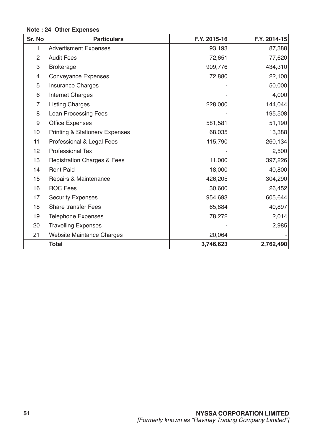### **Note : 24 Other Expenses**

| Sr. No         | <b>Particulars</b>                        | F.Y. 2015-16 | F.Y. 2014-15 |
|----------------|-------------------------------------------|--------------|--------------|
| 1              | <b>Advertisment Expenses</b>              | 93,193       | 87,388       |
| $\overline{2}$ | <b>Audit Fees</b>                         | 72,651       | 77,620       |
| 3              | <b>Brokerage</b>                          | 909,776      | 434,310      |
| 4              | <b>Conveyance Expenses</b>                | 72,880       | 22,100       |
| 5              | <b>Insurance Charges</b>                  |              | 50,000       |
| 6              | <b>Internet Charges</b>                   |              | 4,000        |
| $\overline{7}$ | <b>Listing Charges</b>                    | 228,000      | 144,044      |
| 8              | <b>Loan Processing Fees</b>               |              | 195,508      |
| $9\,$          | <b>Office Expenses</b>                    | 581,581      | 51,190       |
| 10             | <b>Printing &amp; Stationery Expenses</b> | 68,035       | 13,388       |
| 11             | Professional & Legal Fees                 | 115,790      | 260,134      |
| 12             | <b>Professional Tax</b>                   |              | 2,500        |
| 13             | <b>Registration Charges &amp; Fees</b>    | 11,000       | 397,226      |
| 14             | <b>Rent Paid</b>                          | 18,000       | 40,800       |
| 15             | Repairs & Maintenance                     | 426,205      | 304,290      |
| 16             | <b>ROC Fees</b>                           | 30,600       | 26,452       |
| 17             | <b>Security Expenses</b>                  | 954,693      | 605,644      |
| 18             | <b>Share transfer Fees</b>                | 65,884       | 40,897       |
| 19             | <b>Telephone Expenses</b>                 | 78,272       | 2,014        |
| 20             | <b>Travelling Expenses</b>                |              | 2,985        |
| 21             | <b>Website Maintance Charges</b>          | 20,064       |              |
|                | <b>Total</b>                              | 3,746,623    | 2,762,490    |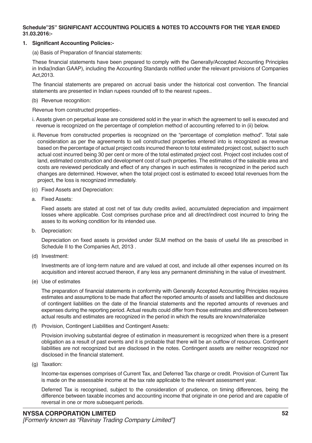### **Schedule"25" SIGNIFICANT ACCOUNTING POLICIES & NOTES TO ACCOUNTS FOR THE YEAR ENDED 31.03.2016:-**

### **1. Significant Accounting Policies:-**

(a) Basis of Preparation of financial statements:

These financial statements have been prepared to comply with the Generally/Accepted Accounting Principles in India(Indian GAAP), including the Accounting Standards notified under the relevant provisions of Companies Act,2013.

The financial statements are prepared on accrual basis under the historical cost convention. The financial statements are presented in Indian rupees rounded off to the nearest rupees..

(b) Revenue recognition:

Revenue from constructed properties-.

- i. Assets given on perpetual lease are considered sold in the year in which the agreement to sell is executed and revenue is recognized on the percentage of completion method of accounting referred to in (ii) below.
- ii. Revenue from constructed properties is recognized on the "percentage of completion method". Total sale consideration as per the agreements to sell constructed properties entered into is recognized as revenue based on the percentage of actual project costs incurred thereon to total estimated project cost, subject to such actual cost incurred being 30 per cent or more of the total estimated project cost. Project cost includes cost of land, estimated construction and development cost of such properties. The estimates of the saleable area and costs are reviewed periodically and effect of any changes in such estimates is recognized in the period such changes are determined. However, when the total project cost is estimated to exceed total revenues from the project, the loss is recognized immediately.
- (c) Fixed Assets and Depreciation:
- a. Fixed Assets:

Fixed assets are stated at cost net of tax duty credits aviled, accumulated depreciation and impairment losses where applicable. Cost comprises purchase price and all direct/indirect cost incurred to bring the asses to its working condition for its intended use.

b. Depreciation:

Depreciation on fixed assets is provided under SLM method on the basis of useful life as prescribed in Schedule II to the Companies Act, 2013 .

(d) Investment:

Investments are of long-term nature and are valued at cost, and include all other expenses incurred on its acquisition and interest accrued thereon, if any less any permanent diminishing in the value of investment.

(e) Use of estimates

The preparation of financial statements in conformity with Generally Accepted Accounting Principles requires estimates and assumptions to be made that affect the reported amounts of assets and liabilities and disclosure of contingent liabilities on the date of the financial statements and the reported amounts of revenues and expenses during the reporting period. Actual results could differ from those estimates and differences between actual results and estimates are recognized in the period in which the results are known/materialize

(f) Provision, Contingent Liabilities and Contingent Assets:

Provision involving substantial degree of estimation in measurement is recognized when there is a present obligation as a result of past events and it is probable that there will be an outflow of resources. Contingent liabilities are not recognized but are disclosed in the notes. Contingent assets are neither recognized nor disclosed in the financial statement.

(g) Taxation:

Income-tax expenses comprises of Current Tax, and Deferred Tax charge or credit. Provision of Current Tax is made on the assessable income at the tax rate applicable to the relevant assessment year.

Deferred Tax is recognised, subject to the consideration of prudence, on timing differences, being the difference between taxable incomes and accounting income that originate in one period and are capable of reversal in one or more subsequent periods.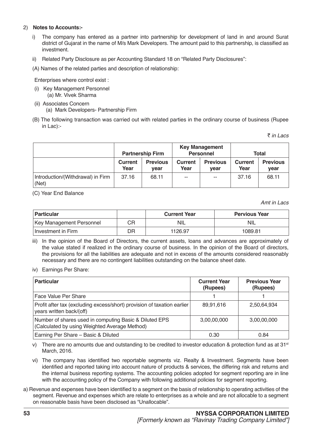### 2) **Notes to Accounts:-**

- i) The company has entered as a partner into partnership for development of land in and around Surat district of Gujarat in the name of M/s Mark Developers. The amount paid to this partnership, is classified as investment.
- ii) Related Party Disclosure as per Accounting Standard 18 on "Related Party Disclosures":

(A) Names of the related parties and description of relationship:

Enterprises where control exist :

- (i) Key Management Personnel (a) Mr. Vivek Sharma
- (ii) Associates Concern (a) Mark Developers- Partnership Firm
- (B) The following transaction was carried out with related parties in the ordinary course of business (Rupee in Lac):-

` *in Lacs*

|                                            | <b>Partnership Firm</b> |                         | <b>Key Management</b><br><b>Personnel</b> |                         | Total           |                         |
|--------------------------------------------|-------------------------|-------------------------|-------------------------------------------|-------------------------|-----------------|-------------------------|
|                                            | <b>Current</b><br>Year  | <b>Previous</b><br>vear | Current<br>Year                           | <b>Previous</b><br>vear | Current<br>Year | <b>Previous</b><br>vear |
| Introduction/(Withdrawal) in Firm<br>(Net) | 37.16                   | 68.11                   | $\sim$ $\sim$                             | $\sim$ $\sim$           | 37.16           | 68.11                   |

(C) Year End Balance

*Amt in Lacs*

| <b>Particular</b>               |    | <b>Current Year</b> | <b>Pervious Year</b> |
|---------------------------------|----|---------------------|----------------------|
| <b>Key Management Personnel</b> | CR | <b>NIL</b>          | -NIL                 |
| ⊥Investment in Firm             | DR | 1126.97             | 1089.81              |

- iii) In the opinion of the Board of Directors, the current assets, loans and advances are approximately of the value stated if realized in the ordinary course of business. In the opinion of the Board of directors, the provisions for all the liabilities are adequate and not in excess of the amounts considered reasonably necessary and there are no contingent liabilities outstanding on the balance sheet date.
- iv) Earnings Per Share:

| <b>Particular</b>                                                                                       | <b>Current Year</b><br>(Rupees) | <b>Previous Year</b><br>(Rupees) |
|---------------------------------------------------------------------------------------------------------|---------------------------------|----------------------------------|
| Face Value Per Share                                                                                    |                                 |                                  |
| Profit after tax (excluding excess/short) provision of taxation earlier<br>years written back/(off)     | 89,91,616                       | 2,50,64,934                      |
| Number of shares used in computing Basic & Diluted EPS<br>(Calculated by using Weighted Average Method) | 3,00,00,000                     | 3,00,00,000                      |
| Earning Per Share - Basic & Diluted                                                                     | 0.30                            | 0.84                             |

v) There are no amounts due and outstanding to be credited to investor education & protection fund as at 31<sup>st</sup> March, 2016.

- vi) The company has identified two reportable segments viz. Realty & Investment. Segments have been identified and reported taking into account nature of products & services, the differing risk and returns and the internal business reporting systems. The accounting policies adopted for segment reporting are in line with the accounting policy of the Company with following additional policies for segment reporting.
- a) Revenue and expenses have been identified to a segment on the basis of relationship to operating activities of the segment. Revenue and expenses which are relate to enterprises as a whole and are not allocable to a segment on reasonable basis have been disclosed as "Unallocable".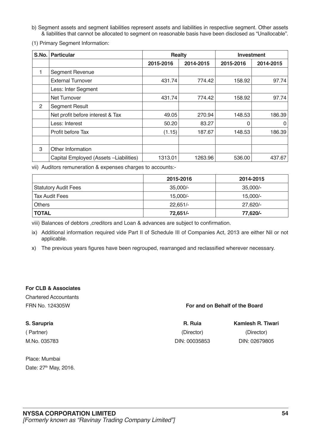- b) Segment assets and segment liabilities represent assets and liabilities in respective segment. Other assets & liabilities that cannot be allocated to segment on reasonable basis have been disclosed as "Unallocable".
- (1) Primary Segment Information:

| S.No. | <b>Particular</b>                      | <b>Realty</b> |           | <b>Investment</b> |           |
|-------|----------------------------------------|---------------|-----------|-------------------|-----------|
|       |                                        | 2015-2016     | 2014-2015 | 2015-2016         | 2014-2015 |
| 1     | <b>Segment Revenue</b>                 |               |           |                   |           |
|       | <b>External Turnover</b>               | 431.74        | 774.42    | 158.92            | 97.74     |
|       | Less: Inter Segment                    |               |           |                   |           |
|       | Net Turnover                           | 431.74        | 774.42    | 158.92            | 97.74     |
| 2     | <b>Segment Result</b>                  |               |           |                   |           |
|       | Net profit before interest & Tax       | 49.05         | 270.94    | 148.53            | 186.39    |
|       | Less: Interest                         | 50.20         | 83.27     |                   | 0         |
|       | Profit before Tax                      | (1.15)        | 187.67    | 148.53            | 186.39    |
|       |                                        |               |           |                   |           |
| 3     | Other Information                      |               |           |                   |           |
|       | Capital Employed (Assets -Liabilities) | 1313.01       | 1263.96   | 536.00            | 437.67    |

vii) Auditors remuneration & expenses charges to accounts:-

|                             | 2015-2016  | 2014-2015  |
|-----------------------------|------------|------------|
| <b>Statutory Audit Fees</b> | $35,000/-$ | 35,000/-   |
| <b>Tax Audit Fees</b>       | $15.000/-$ | 15.000/-   |
| <b>Others</b>               | $22.651/-$ | $27.620/-$ |
| <b>TOTAL</b>                | 72,651/-   | 77,620/-   |

viii) Balances of debtors ,creditors and Loan & advances are subject to confirmation.

- ix) Additional information required vide Part II of Schedule III of Companies Act, 2013 are either Nil or not applicable.
- x) The previous years figures have been regrouped, rearranged and reclassified wherever necessary.

### **For CLB & Associates**

Chartered Accountants

### FRN No. 124305W **For and on Behalf of the Board**

| S. Sarupria  | R. Ruia       | Kamlesh R. Tiwari |
|--------------|---------------|-------------------|
| (Partner)    | (Director)    | (Director)        |
| M.No. 035783 | DIN: 00035853 | DIN: 02679805     |

Place: Mumbai Date: 27<sup>th</sup> May, 2016.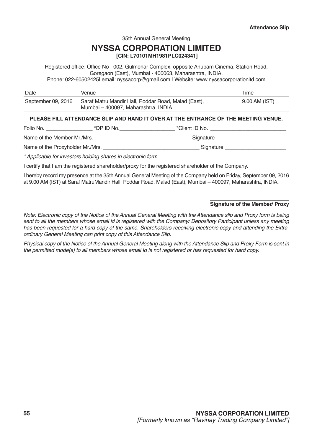35th Annual General Meeting

### **NYSSA CORPORATION LIMITED [CIN: L70101MH1981PLC024341]**

Registered office: Office No - 002, Gulmohar Complex, opposite Anupam Cinema, Station Road, Goregaon (East), Mumbai - 400063, Maharashtra, INDIA.

Phone: 022-60502425| email: nyssacorp@gmail.com | Website: www.nyssacorporationltd.com

| Date               | Venue                                                                                      | Time          |
|--------------------|--------------------------------------------------------------------------------------------|---------------|
| September 09, 2016 | Saraf Matru Mandir Hall, Poddar Road, Malad (East),<br>Mumbai – 400097, Maharashtra, INDIA | 9.00 AM (IST) |

### **PLEASE FILL ATTENDANCE SLIP AND HAND IT OVER AT THE ENTRANCE OF THE MEETING VENUE.**

Folio No. \_\_\_\_\_\_\_\_\_\_\_\_\_\_\_\_ \*DP ID No.\_\_\_\_\_\_\_\_\_\_\_\_\_\_\_\_\_\_\_ \*Client ID No. \_\_\_\_\_\_\_\_\_\_\_\_\_\_\_\_\_\_\_\_\_\_\_\_\_\_

Name of the Member Mr./Mrs. \_\_\_\_\_\_\_\_\_\_\_\_\_\_\_\_\_\_\_\_\_\_\_\_\_\_\_\_\_\_\_\_\_ Signature \_\_\_\_\_\_\_\_\_\_\_\_\_\_\_\_\_\_\_\_\_\_\_\_

Name of the Proxyholder Mr./Mrs. \_\_\_\_\_\_\_\_\_\_\_\_\_\_\_\_\_\_\_\_\_\_\_\_\_\_\_\_\_\_\_\_\_ Signature \_\_\_\_\_\_\_\_\_\_\_\_\_\_\_\_\_\_\_\_\_

\* Applicable for investors holding shares in electronic form.

I certify that I am the registered shareholder/proxy for the registered shareholder of the Company.

I hereby record my presence at the 35th Annual General Meeting of the Company held on Friday, September 09, 2016 at 9.00 AM (IST) at Saraf MatruMandir Hall, Poddar Road, Malad (East), Mumbai – 400097, Maharashtra, INDIA**.**

### **Signature of the Member/ Proxy**

Note: Electronic copy of the Notice of the Annual General Meeting with the Attendance slip and Proxy form is being sent to all the members whose email id is registered with the Company/ Depository Participant unless any meeting has been requested for a hard copy of the same. Shareholders receiving electronic copy and attending the Extraordinary General Meeting can print copy of this Attendance Slip.

Physical copy of the Notice of the Annual General Meeting along with the Attendance Slip and Proxy Form is sent in the permitted mode(s) to all members whose email Id is not registered or has requested for hard copy.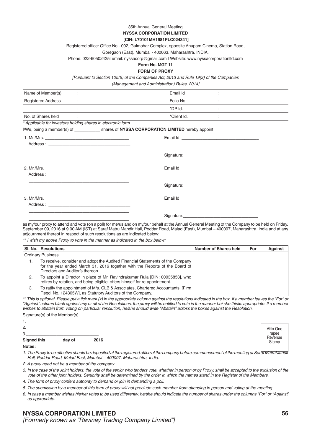### 35th Annual General Meeting **NYSSA CORPORATION LIMITED**

#### **[CIN: L70101MH1981PLC024341]**

Registered office: Office No - 002, Gulmohar Complex, opposite Anupam Cinema, Station Road,

Goregaon (East), Mumbai - 400063, Maharashtra, INDIA.

Phone: 022-60502425| email: nyssacorp@gmail.com | Website: www.nyssacorporationltd.com

#### **Form No. MGT-11 FORM OF PROXY**

[Pursuant to Section 105(6) of the Companies Act, 2013 and Rule 19(3) of the Companies

(Management and Administration) Rules, 2014]

| Name of Member(s)         | Email Id               |  |
|---------------------------|------------------------|--|
| <b>Registered Address</b> | <sup>1</sup> Folio No. |  |
|                           | *DP Id.                |  |
| No. of Shares held        | "*Client Id.           |  |

\* Applicable for investors holding shares in electronic form.

|                                                                                                                        | I/We, being a member(s) of ________________ shares of NYSSA CORPORATION LIMITED hereby appoint:                                                                                                                                      |
|------------------------------------------------------------------------------------------------------------------------|--------------------------------------------------------------------------------------------------------------------------------------------------------------------------------------------------------------------------------------|
|                                                                                                                        |                                                                                                                                                                                                                                      |
| <u> 1989 - Johann John Harry Harry Harry Harry Harry Harry Harry Harry Harry Harry Harry Harry Harry Harry Harry H</u> | Signature: <u>contract and a series of the series of the series of the series of the series of the series of the series of the series of the series of the series of the series of the series of the series of the series of the</u> |
|                                                                                                                        |                                                                                                                                                                                                                                      |
| <u> 1989 - Johann Stoff, amerikansk politiker (d. 1989)</u>                                                            |                                                                                                                                                                                                                                      |
|                                                                                                                        |                                                                                                                                                                                                                                      |
| <u> 1989 - Jan Samuel Barbara, margaret eta idazlearen 1989 - Erresuma eta idazlearen 1980an eta idazlea eta idaz</u>  |                                                                                                                                                                                                                                      |

as my/our proxy to attend and vote (on a poll) for me/us and on my/our behalf at the Annual General Meeting of the Company to be held on Friday, September 09, 2016 at 9.00 AM (IST) at Saraf Matru Mandir Hall, Poddar Road, Malad (East), Mumbai – 400097, Maharashtra, India and at any adjournment thereof in respect of such resolutions as are indicated below:

\*\* I wish my above Proxy to vote in the manner as indicated in the box below:

|    | SI, No.   Resolutions                                                                                                                                                                             | Number of Shares held | For | <b>Against</b> |
|----|---------------------------------------------------------------------------------------------------------------------------------------------------------------------------------------------------|-----------------------|-----|----------------|
|    | <b>Ordinary Business</b>                                                                                                                                                                          |                       |     |                |
| 1. | To receive, consider and adopt the Audited Financial Statements of the Company<br>for the year ended March 31, 2016 together with the Reports of the Board of<br>Directors and Auditor's thereon. |                       |     |                |
| 2. | To appoint a Director in place of Mr. Ravindrakumar Ruia [DIN: 00035853], who<br>retires by rotation, and being eligible, offers himself for re-appointment.                                      |                       |     |                |
| 3. | To ratify the appointment of M/s. CLB & Associates, Chartered Accountants, [Firm]<br>Regd. No. 124305W], as Statutory Auditors of the Company.                                                    |                       |     |                |

\*\* This is optional. Please put a tick mark (x) in the appropriate column against the resolutions indicated in the box. If a member leaves the "For" or "Against" column blank against any or all of the Resolutions, the proxy will be entitled to vote in the manner he/ she thinks appropriate. If a member wishes to abstain from voting on particular resolution, he/she should write "Abstain" across the boxes against the Resolution. Signature(s) of the Member(s)

1.\_\_\_\_\_\_\_\_\_\_\_\_\_\_\_\_\_\_\_\_\_\_\_\_\_\_\_\_\_\_\_ 2.\_\_\_\_\_\_\_\_\_\_\_\_\_\_\_\_\_\_\_\_\_\_\_\_\_\_\_\_\_\_\_ 3.\_\_\_\_\_\_\_\_\_\_\_\_\_\_\_\_\_\_\_\_\_\_\_\_\_\_\_\_\_\_\_

Signed this **day of** 2016

**Notes:**

1. The Proxy to be effective should be deposited at the registered office of the company before commencement of the meeting at Saraf MatruMandi. Hall, Poddar Road, Malad East, Mumbai – 400097, Maharashtra, India.

2. A proxy need not be a member of the company.

3. In the case of the Joint holders, the vote of the senior who tenders vote, whether in person or by Proxy, shall be accepted to the exclusion of the vote of the other joint holders. Seniority shall be determined by the order in which the names stand in the Register of the Members.

4. The form of proxy confers authority to demand or join in demanding a poll.

5. The submission by a member of this form of proxy will not preclude such member from attending in person and voting at the meeting.

6. In case a member wishes his/her votes to be used differently, he/she should indicate the number of shares under the columns "For" or "Against' *as appropriate.*

Affix One rupee **Revenue Stamp**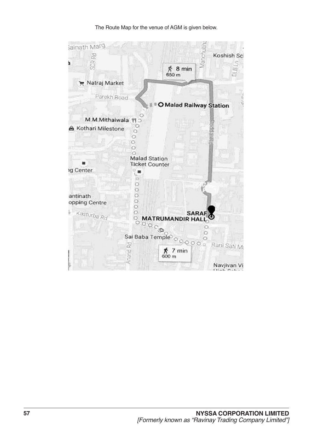The Route Map for the venue of AGM is given below.

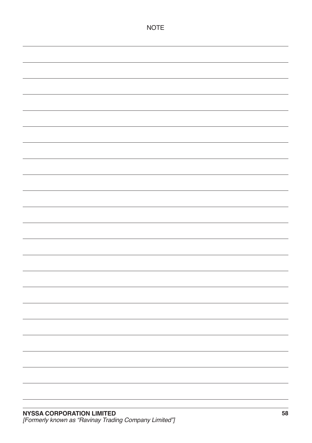| <b>NOTE</b> |
|-------------|
|             |
|             |
|             |
|             |
|             |
|             |
|             |
|             |
|             |
|             |
|             |
|             |
|             |
|             |
|             |
|             |
|             |
|             |
|             |
|             |
|             |
|             |
|             |
|             |
|             |
|             |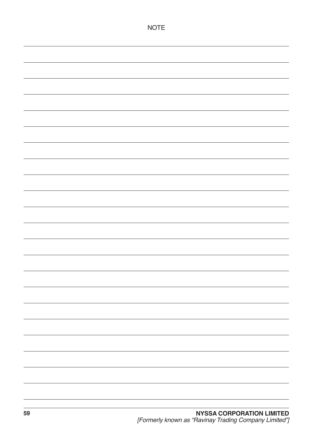| <b>NOTE</b> |
|-------------|
|             |
|             |
|             |
|             |
|             |
|             |
|             |
|             |
|             |
|             |
|             |
|             |
|             |
|             |
|             |
|             |
|             |
|             |
|             |
|             |
|             |
|             |
|             |
|             |
|             |
|             |
|             |
|             |
|             |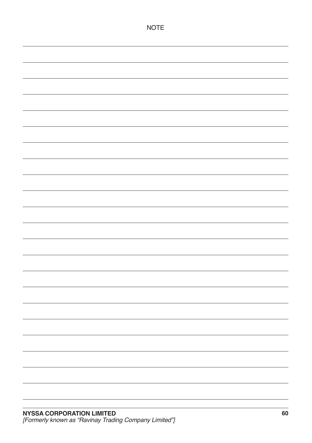| <b>NOTE</b> |
|-------------|
|             |
|             |
|             |
|             |
|             |
|             |
|             |
|             |
|             |
|             |
|             |
|             |
|             |
|             |
|             |
|             |
|             |
|             |
|             |
|             |
|             |
|             |
|             |
|             |
|             |
|             |
|             |
|             |